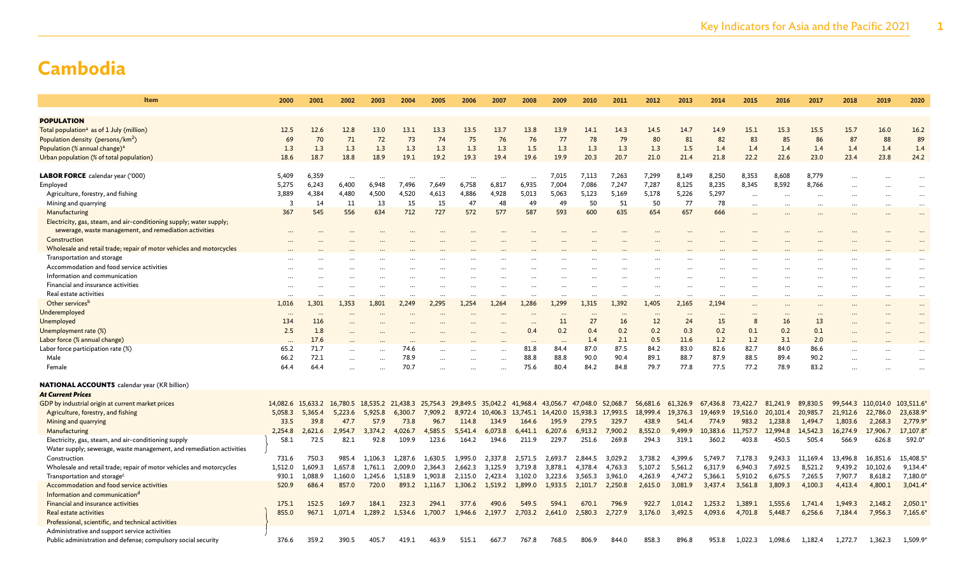| Item                                                                                               | 2000           | 2001      | 2002                 | 2003                 | 2004                 | 2005     | 2006                                                                             | 2007                 | 2008      | 2009      | 2010                       | 2011     | 2012     | 2013      | 2014     | 2015      | 2016      | 2017      | 2018               | 2019     | 2020                 |
|----------------------------------------------------------------------------------------------------|----------------|-----------|----------------------|----------------------|----------------------|----------|----------------------------------------------------------------------------------|----------------------|-----------|-----------|----------------------------|----------|----------|-----------|----------|-----------|-----------|-----------|--------------------|----------|----------------------|
|                                                                                                    |                |           |                      |                      |                      |          |                                                                                  |                      |           |           |                            |          |          |           |          |           |           |           |                    |          |                      |
| <b>POPULATION</b>                                                                                  |                |           |                      |                      |                      |          |                                                                                  |                      |           |           |                            |          |          |           |          |           |           |           |                    |          |                      |
| Total population <sup>a</sup> as of 1 July (million)                                               | 12.5           | 12.6      | 12.8                 | 13.0                 | 13.1                 | 13.3     | 13.5                                                                             | 13.7                 | 13.8      | 13.9      | 14.1                       | 14.3     | 14.5     | 14.7      | 14.9     | 15.1      | 15.3      | 15.5      | 15.7               | 16.0     | 16.2                 |
| Population density (persons/km <sup>2</sup> )                                                      | 69             | 70        | 71                   | 72                   | 73                   | 74       | 75                                                                               | 76                   | 76        | 77        | 78                         | 79       | 80       | 81        | 82       | 83        | 85        | 86        | 87                 | 88       | 89                   |
| Population (% annual change) <sup>a</sup>                                                          | 1.3            | 1.3       | 1.3                  | 1.3                  | 1.3                  | 1.3      | 1.3                                                                              | 1.3                  | 1.5       | 1.3       | 1.3                        | 1.3      | 1.3      | 1.5       | 1.4      | 1.4       | 1.4       | 1.4       | 1.4                | 1.4      | 1.4                  |
| Urban population (% of total population)                                                           | 18.6           | 18.7      | 18.8                 | 18.9                 | 19.1                 | 19.2     | 19.3                                                                             | 19.4                 | 19.6      | 19.9      | 20.3                       | 20.7     | 21.0     | 21.4      | 21.8     | 22.2      | 22.6      | 23.0      | 23.4               | 23.8     | 24.2                 |
|                                                                                                    |                |           |                      |                      |                      |          |                                                                                  |                      |           |           |                            |          |          |           |          |           |           |           |                    |          |                      |
| LABOR FORCE calendar year ('000)                                                                   | 5,409          | 6,359     | $\cdots$             | $\ddot{\phantom{a}}$ |                      |          | $\ddotsc$                                                                        | $\cdots$             | $\cdots$  | 7,015     | 7,113                      | 7,263    | 7,299    | 8,149     | 8,250    | 8,353     | 8,608     | 8,779     | $\cdots$           |          |                      |
| Employed                                                                                           | 5,275          | 6,243     | 6,400                | 6,948                | 7,496                | 7,649    | 6,758                                                                            | 6,817                | 6,935     | 7,004     | 7,086                      | 7,247    | 7,287    | 8,125     | 8,235    | 8,345     | 8,592     | 8,766     |                    |          | $\ddotsc$            |
| Agriculture, forestry, and fishing                                                                 | 3,889          | 4,384     | 4,480                | 4,500                | 4,520                | 4,613    | 4,886                                                                            | 4,928                | 5,013     | 5,063     | 5,123                      | 5,169    | 5,178    | 5,226     | 5,297    | $\ddotsc$ |           |           |                    |          | $\ddotsc$            |
| Mining and quarrying                                                                               | $\overline{3}$ | 14        | 11                   | 13                   | 15                   | 15       | 47                                                                               | 48                   | 49        | 49        | 50                         | 51       | 50       | 77        | 78       | $\cdots$  |           | $\ddotsc$ |                    |          | $\ddotsc$            |
| Manufacturing                                                                                      | 367            | 545       | 556                  | 634                  | 712                  | 727      | 572                                                                              | 577                  | 587       | 593       | 600                        | 635      | 654      | 657       | 666      |           |           |           |                    |          |                      |
| Electricity, gas, steam, and air-conditioning supply; water supply;                                |                |           |                      |                      |                      |          |                                                                                  |                      |           |           |                            |          |          |           |          |           |           |           |                    |          |                      |
| sewerage, waste management, and remediation activities<br>Construction                             |                |           |                      |                      |                      |          |                                                                                  |                      |           |           |                            |          |          |           |          |           |           |           |                    |          |                      |
|                                                                                                    |                |           |                      |                      |                      |          |                                                                                  |                      |           |           |                            |          |          |           |          |           |           |           |                    |          |                      |
| Wholesale and retail trade; repair of motor vehicles and motorcycles<br>Transportation and storage |                |           |                      |                      |                      |          |                                                                                  |                      |           |           |                            |          |          |           |          |           |           |           |                    |          |                      |
| Accommodation and food service activities                                                          |                |           |                      |                      |                      |          |                                                                                  |                      |           |           |                            |          |          |           |          |           |           |           |                    |          |                      |
| Information and communication                                                                      |                |           |                      |                      |                      |          |                                                                                  |                      |           |           |                            |          |          |           |          |           |           |           |                    |          | $\cdots$             |
| Financial and insurance activities                                                                 | $\cdots$       | $\ddotsc$ | $\ddotsc$            |                      |                      | $\cdots$ | $\cdots$                                                                         | $\cdots$<br>$\cdots$ |           |           | $\cdots$                   | $\cdots$ |          | $\cdots$  |          | $\cdots$  |           |           |                    |          | $\cdots$<br>$\cdots$ |
| Real estate activities                                                                             | $\cdots$       |           | $\ddot{\phantom{a}}$ | $\ddotsc$            | $\ddot{\phantom{a}}$ |          | $\cdots$                                                                         | $\cdots$             | $\ddotsc$ |           | $\cdots$                   | $\cdots$ |          | $\cdots$  |          | $\cdots$  |           |           |                    |          | $\cdots$             |
| Other services <sup>b</sup>                                                                        | 1,016          | 1,301     | 1.353                | 1.801                | 2.249                | 2.295    | 1.254                                                                            | 1.264                | 1,286     | 1.299     | 1,315                      | 1.392    | 1,405    | 2,165     | 2.194    | $\cdots$  |           |           |                    |          | $\cdots$             |
| Underemployed                                                                                      | $\ddotsc$      | $\ddotsc$ |                      |                      |                      |          |                                                                                  |                      |           | $\ddotsc$ | $\ddotsc$                  |          |          | $\ddotsc$ |          | $\cdots$  | $\ddotsc$ | $\cdots$  |                    |          | $\cdots$             |
| Unemployed                                                                                         | 134            | 116       |                      |                      |                      |          |                                                                                  |                      |           | 11        | 27                         | 16       | 12       | 24        | 15       | 8         | 16        | 13        |                    |          |                      |
| Unemployment rate (%)                                                                              | 2.5            | 1.8       |                      |                      |                      |          |                                                                                  |                      | 0.4       | 0.2       | 0.4                        | 0.2      | 0.2      | 0.3       | 0.2      | 0.1       | 0.2       | 0.1       |                    |          |                      |
| Labor force (% annual change)                                                                      |                | 17.6      |                      |                      |                      |          |                                                                                  |                      |           |           | 1.4                        | 2.1      | 0.5      | 11.6      | 1.2      | 1.2       | 3.1       | 2.0       |                    |          |                      |
| Labor force participation rate (%)                                                                 | 65.2           | 71.7      |                      |                      | 74.6                 |          |                                                                                  |                      | 81.8      | 84.4      | 87.0                       | 87.5     | 84.2     | 83.0      | 82.6     | 82.7      | 84.0      | 86.6      |                    |          |                      |
| Male                                                                                               | 66.2           | 72.1      |                      |                      | 78.9                 |          |                                                                                  |                      | 88.8      | 88.8      | 90.0                       | 90.4     | 89.1     | 88.7      | 87.9     | 88.5      | 89.4      | 90.2      |                    |          |                      |
| Female                                                                                             | 64.4           | 64.4      |                      |                      | 70.7                 |          |                                                                                  |                      | 75.6      | 80.4      | 84.2                       | 84.8     | 79.7     | 77.8      | 77.5     | 77.2      | 78.9      | 83.2      |                    |          |                      |
|                                                                                                    |                |           |                      |                      |                      |          |                                                                                  |                      |           |           |                            |          |          |           |          |           |           |           |                    |          |                      |
| <b>NATIONAL ACCOUNTS</b> calendar year (KR billion)                                                |                |           |                      |                      |                      |          |                                                                                  |                      |           |           |                            |          |          |           |          |           |           |           |                    |          |                      |
| <b>At Current Prices</b>                                                                           |                |           |                      |                      |                      |          |                                                                                  |                      |           |           |                            |          |          |           |          |           |           |           |                    |          |                      |
| GDP by industrial origin at current market prices                                                  |                |           |                      |                      |                      |          | 14,082.6 15,633.2 16,780.5 18,535.2 21,438.3 25,754.3 29,849.5 35,042.2 41,968.4 |                      |           |           | 43,056.7 47,048.0 52,068.7 |          | 56,681.6 | 61,326.9  | 67,436.8 | 73,422.7  | 81,241.9  | 89.830.5  | 99,544.3 110,014.0 |          | 103,511.6            |
| Agriculture, forestry, and fishing                                                                 | 5,058.3        | 5,365.4   | 5,223.6              | 5,925.8              | 6,300.7              | 7,909.2  | 8,972.4                                                                          | 10,406.3 13,745.1    |           | 14,420.0  | 15,938.3                   | 17,993.5 | 18,999.4 | 19,376.3  | 19,469.9 | 19,516.0  | 20,101.4  | 20,985.7  | 21,912.6           | 22,786.0 | 23,638.9             |
| Mining and quarrying                                                                               | 33.5           | 39.8      | 47.7                 | 57.9                 | 73.8                 | 96.7     | 114.8                                                                            | 134.9                | 164.6     | 195.9     | 279.5                      | 329.7    | 438.9    | 541.4     | 774.9    | 983.2     | 1,238.8   | 1,494.7   | 1,803.6            | 2,268.3  | 2,779.9              |
| Manufacturing                                                                                      | 2.254.8        | 2.621.6   | 2.954.7              | 3.374.2              | 4.026.7              | 4,585.5  | 5,541.4                                                                          | 6,073.8              | 6,441.1   | 6,207.6   | 6,913.2                    | 7,900.2  | 8,552.0  | 9,499.9   | 10,383.6 | 11,757.7  | 12,994.8  | 14,542.3  | 16,274.9           | 17,906.7 | 17,107.8             |
| Electricity, gas, steam, and air-conditioning supply                                               | 58.1           | 72.5      | 82.1                 | 92.8                 | 109.9                | 123.6    | 164.2                                                                            | 194.6                | 211.9     | 229.7     | 251.6                      | 269.8    | 294.3    | 319.1     | 360.2    | 403.8     | 450.5     | 505.4     | 566.9              | 626.8    | 592.0*               |
| Water supply; sewerage, waste management, and remediation activities                               |                |           |                      |                      |                      |          |                                                                                  |                      |           |           |                            |          |          |           |          |           |           |           |                    |          |                      |
| Construction                                                                                       | 731.6          | 750.3     | 985.4                | 1.106.3              | 1.287.6              | 1.630.5  | 1.995.0                                                                          | 2.337.8              | 2,571.5   | 2.693.7   | 2.844.5                    | 3.029.2  | 3,738.2  | 4.399.6   | 5.749.7  | 7,178.3   | 9,243.3   | 11.169.4  | 13.496.8           | 16,851.6 | 15,408.5             |
| Wholesale and retail trade; repair of motor vehicles and motorcycles                               | 1,512.0        | 1,609.3   | 1,657.8              | 1,761.1              | 2,009.0              | 2,364.3  | 2,662.3                                                                          | 3,125.9              | 3,719.8   | 3,878.1   | 4,378.4                    | 4,763.3  | 5,107.2  | 5,561.2   | 6,317.9  | 6,940.3   | 7,692.5   | 8,521.2   | 9,439.2            | 10,102.6 | 9,134.4              |
| Transportation and storage <sup>c</sup>                                                            | 930.1          | 1,088.9   | 1,160.0              | 1,245.6              | 1,518.9              | 1,903.8  | 2,115.0                                                                          | 2,423.4              | 3,102.0   | 3,223.6   | 3,565.3                    | 3,961.0  | 4,263.9  | 4,747.2   | 5,366.1  | 5,910.2   | 6,675.5   | 7,265.5   | 7,907.7            | 8,618.2  | 7,180.0              |
| Accommodation and food service activities                                                          | 520.9          | 686.4     | 857.0                | 720.0                | 893.2                | 1,116.7  | 1,306.2                                                                          | 1,519.2              | 1,899.0   | 1,933.5   | 2,101.7                    | 2,250.8  | 2,615.0  | 3,081.9   | 3,437.4  | 3,561.8   | 3,809.3   | 4,100.3   | 4,413.4            | 4,800.1  | 3,041.4              |
| Information and communication <sup>d</sup>                                                         |                |           |                      |                      |                      |          |                                                                                  |                      |           |           |                            |          |          |           |          |           |           |           |                    |          |                      |
| Financial and insurance activities                                                                 | 175.1          | 152.5     | 169.7                | 184.1                | 232.3                | 294.1    | 377.6                                                                            | 490.6                | 549.5     | 594.1     | 670.1                      | 796.9    | 922.7    | 1,014.2   | 1,253.2  | 1,389.1   | 1,555.6   | 1,741.4   | 1.949.3            | 2,148.2  | 2,050.1              |
| Real estate activities                                                                             | 855.0          | 967.1     | 1,071.4              | 1,289.2              | 1,534.6              | 1,700.7  | 1,946.6                                                                          | 2,197.7              | 2,703.2   | 2,641.0   | 2,580.3                    | 2,727.9  | 3,176.0  | 3,492.5   | 4,093.6  | 4,701.8   | 5,448.7   | 6,256.6   | 7,184.4            | 7,956.3  | 7,165.6              |
| Professional, scientific, and technical activities                                                 |                |           |                      |                      |                      |          |                                                                                  |                      |           |           |                            |          |          |           |          |           |           |           |                    |          |                      |
| Administrative and support service activities                                                      | 376.6          | 359.2     | 390.5                | 405.7                | 419.1                | 463.9    | 515.1                                                                            |                      | 767.8     | 768.5     | 806.9                      | 844.0    | 858.3    | 896.8     | 953.8    | 1,022.3   | 1,098.6   | 1,182.4   | 1,272.7            | 1,362.3  | 1,509.9              |
| Public administration and defense; compulsory social security                                      |                |           |                      |                      |                      |          |                                                                                  | 667.7                |           |           |                            |          |          |           |          |           |           |           |                    |          |                      |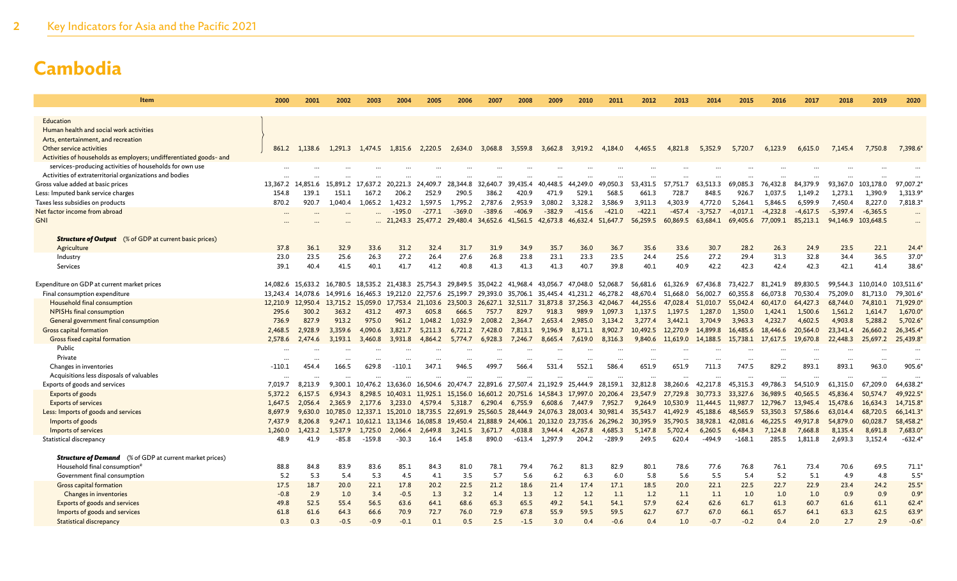| Item                                                               | 2000           | 2001                       | 2002                       | 2003              | 2004                                | 2005             | 2006             | 2007                            | 2008                                         | 2009             | 2010                                                                            | 2011                | 2012               | 2013                | 2014               | 2015                | 2016                | 2017                | 2018                | 2019               | 2020                 |
|--------------------------------------------------------------------|----------------|----------------------------|----------------------------|-------------------|-------------------------------------|------------------|------------------|---------------------------------|----------------------------------------------|------------------|---------------------------------------------------------------------------------|---------------------|--------------------|---------------------|--------------------|---------------------|---------------------|---------------------|---------------------|--------------------|----------------------|
| Education                                                          |                |                            |                            |                   |                                     |                  |                  |                                 |                                              |                  |                                                                                 |                     |                    |                     |                    |                     |                     |                     |                     |                    |                      |
| Human health and social work activities                            |                |                            |                            |                   |                                     |                  |                  |                                 |                                              |                  |                                                                                 |                     |                    |                     |                    |                     |                     |                     |                     |                    |                      |
| Arts, entertainment, and recreation                                |                |                            |                            |                   |                                     |                  |                  |                                 |                                              |                  |                                                                                 |                     |                    |                     |                    |                     |                     |                     |                     |                    |                      |
| Other service activities                                           |                | 861.2 1,138.6              | 1,291.3                    |                   | 1,474.5 1,815.6                     | 2,220.5          | 2,634.0          | 3,068.8                         | 3,559.8                                      | 3,662.8          |                                                                                 | 3,919.2 4,184.0     | 4,465.5            | 4,821.8             | 5,352.9            | 5,720.7             | 6,123.9             | 6,615.0             | 7,145.4             | 7,750.8            | 7,398.6              |
| Activities of households as employers; undifferentiated goods- and |                |                            |                            |                   |                                     |                  |                  |                                 |                                              |                  |                                                                                 |                     |                    |                     |                    |                     |                     |                     |                     |                    |                      |
| services-producing activities of households for own use            |                |                            |                            |                   |                                     |                  |                  |                                 |                                              |                  |                                                                                 |                     |                    |                     |                    |                     |                     |                     |                     |                    |                      |
| Activities of extraterritorial organizations and bodies            | $\ddotsc$      |                            |                            |                   |                                     |                  |                  |                                 |                                              |                  |                                                                                 |                     |                    |                     |                    |                     |                     |                     |                     |                    |                      |
| Gross value added at basic prices                                  |                | 13,367.2 14,851.6          | 15,891.2                   | 17,637.2          | 20,221.3                            | 24.409.7         | 28,344.8         | 32.640.7                        | 39,435.4                                     | 40,448.5         | 44,249.0                                                                        | 49,050.3            | 53,431.5           | 57,751.7            | 63,513.3           | 69,085.3            | 76,432.8            | 84,379.9            | 93,367.0            | 103,178.0          | 97,007.2             |
| Less: Imputed bank service charges                                 | 154.8          | 139.1                      | 151.1                      | 167.2             | 206.2                               | 252.9            | 290.5            | 386.2                           | 420.9                                        | 471.9            | 529.1                                                                           | 568.5               | 661.3              | 728.7               | 848.5              | 926.7               | 1.037.5             | 1,149.2             | 1,273.1             | 1,390.9            | 1,313.9              |
| Taxes less subsidies on products                                   | 870.2          | 920.7                      | 1,040.4                    | 1,065.2           | 1,423.2                             | 1,597.5          | 1,795.2          | 2,787.6                         | 2,953.9                                      | 3,080.2          | 3,328.2                                                                         | 3,586.9             | 3,911.3            | 4,303.9             | 4,772.0            | 5.264.1             | 5,846.5             | 6,599.9             | 7,450.4             | 8,227.0            | 7,818.3              |
| Net factor income from abroad                                      |                |                            |                            |                   | $-195.0$                            | $-277.1$         | $-369.0$         | $-389.6$                        | $-406.9$                                     | $-382.9$         | $-415.6$                                                                        | $-421.0$            | $-422.1$           | $-457.4$            | $-3.752.7$         | $-4.017.1$          | $-4.232.8$          | $-4.617.5$          | $-5.397.4$          | $-6,365.5$         | $\cdots$             |
| <b>GNI</b>                                                         |                |                            |                            |                   |                                     |                  |                  |                                 | 21,243.3 25,477.2 29,480.4 34,652.6 41,561.5 |                  | 42,673.8 46,632.4 51,647.7                                                      |                     | 56,259.5           | 60,869.5            | 63,684.1           | 69,405.6            | 77,009.1            | 85,213.1            | 94,146.9 103,648.5  |                    | $\cdots$             |
| <b>Structure of Output</b> (% of GDP at current basic prices)      |                |                            |                            |                   |                                     |                  |                  |                                 |                                              |                  |                                                                                 |                     |                    |                     |                    |                     |                     |                     |                     |                    |                      |
| Agriculture                                                        | 37.8           | 36.1                       | 32.9                       | 33.6              | 31.2                                | 32.4             | 31.7             | 31.9                            | 34.9                                         | 35.7             | 36.0                                                                            | 36.7                | 35.6               | 33.6                | 30.7               | 28.2                | 26.3                | 24.9                | 23.5                | 22.1               | $24.4*$              |
| Industry                                                           | 23.0           | 23.5                       | 25.6                       | 26.3              | 27.2                                | 26.4             | 27.6             | 26.8                            | 23.8                                         | 23.1             | 23.3                                                                            | 23.5                | 24.4               | 25.6                | 27.2               | 29.4                | 31.3                | 32.8                | 34.4                | 36.5               | $37.0*$              |
| Services                                                           | 39.1           | 40.4                       | 41.5                       | 40.1              | 41.7                                | 41.2             | 40.8             | 41.3                            | 41.3                                         | 41.3             | 40.7                                                                            | 39.8                | 40.1               | 40.9                | 42.2               | 42.3                | 42.4                | 42.3                | 42.1                | 41.4               | 38.6'                |
|                                                                    |                |                            |                            |                   |                                     |                  |                  |                                 |                                              |                  |                                                                                 |                     |                    |                     |                    |                     |                     |                     |                     |                    |                      |
| Expenditure on GDP at current market prices                        |                | 14,082.6 15,633.2          |                            |                   | 16,780.5 18,535.2 21,438.3 25,754.3 |                  |                  | 29,849.5 35,042.2 41,968.4      |                                              | 43,056.7         | 47.048.0                                                                        | 52,068.7            | 56,681.6           | 61.326.9            | 67.436.8           | 73,422.7            | 81,241.9            | 89.830.5            |                     | 99.544.3 110.014.0 | 103,511.6            |
| Final consumption expenditure                                      |                | 13,243.4 14,078.6          |                            |                   | 14,991.6 16,465.3 19,212.0 22,757.6 |                  |                  |                                 |                                              |                  | 25,199.7 29,393.0 35,706.1 35,445.4 41,231.2                                    | 46,278.2            | 48,670.4           | 51,668.0            | 56,002.7           | 60,355.8            | 66,073.8            | 70,530.4            | 75,209.0            | 81,713.0           | 79,301.6             |
| Household final consumption                                        |                | 12,210.9 12,950.4<br>300.2 | 13,715.2 15,059.0<br>363.2 | 431.2             | 17,753.4 21,103.6<br>497.3          |                  |                  |                                 |                                              |                  | 23,500.3 26,627.1 32,511.7 31,873.8 37,256.3<br>989.9                           | 42,046.7<br>1,097.3 | 44,255.6           | 47,028.4<br>1,197.5 | 51,010.7           | 55,042.4<br>1,350.0 | 60,417.0<br>1,424.1 | 64,427.3<br>1,500.6 | 68,744.0<br>1,561.2 | 74,810.1           | 71,929.0*<br>1,670.0 |
| NPISHs final consumption<br>General government final consumption   | 295.6<br>736.9 | 827.9                      | 913.2                      | 975.0             | 961.2                               | 605.8<br>1.048.2 | 666.5<br>1,032.9 | 757.7<br>2,008.2                | 829.7<br>2,364.7                             | 918.3<br>2.653.4 | 2,985.0                                                                         | 3,134.2             | 1,137.5<br>3.277.4 | 3,442.1             | 1,287.0<br>3.704.9 | 3,963.3             | 4,232.7             | 4,602.5             | 4,903.8             | 1,614.7<br>5,288.2 | 5,702.6              |
| Gross capital formation                                            | 2,468.5        | 2,928.9                    | 3,359.6                    | 4,090.6           | 3,821.7                             | 5,211.3          | 6,721.2          | 7,428.0                         | 7,813.1                                      | 9,196.9          | 8,171.1                                                                         | 8,902.7             |                    | 10,492.5 12,270.9   | 14,899.8           | 16,485.6            | 18,446.6            | 20,564.0            | 23,341.4            | 26,660.2           | 26,345.4             |
| Gross fixed capital formation                                      | 2,578.6        | 2,474.6                    | 3,193.1                    | 3,460.8           | 3,931.8                             | 4,864.2          | 5,774.7          | 6,928.3                         | 7,246.7                                      | 8,665.4          | 7,619.0                                                                         | 8,316.3             |                    | 9,840.6 11,619.0    | 14,188.5           | 15,738.1            | 17,617.5            | 19,670.8            | 22,448.3            | 25,697.2           | 25,439.8             |
| Public                                                             | $\ddotsc$      |                            |                            |                   |                                     |                  |                  |                                 |                                              |                  |                                                                                 |                     |                    |                     |                    |                     |                     |                     |                     |                    |                      |
| Private                                                            |                |                            | $\ddotsc$                  |                   | $\ddotsc$                           | $\ddotsc$        | $\cdots$         | $\cdots$                        |                                              |                  | $\ddotsc$                                                                       | $\ddotsc$           | $\cdots$           | $\ddotsc$           |                    | $\ddotsc$           | $\cdots$            | $\ddotsc$           |                     |                    | $\ddotsc$            |
| Changes in inventories                                             | $-110.1$       | 454.4                      | 166.5                      | 629.8             | $-110.1$                            | 347.1            | 946.5            | 499.7                           | 566.4                                        | 531.4            | 552.1                                                                           | 586.4               | 651.9              | 651.9               | 711.3              | 747.5               | 829.2               | 893.1               | 893.1               | 963.0              | 905.6                |
| Acquisitions less disposals of valuables                           | $\ddots$       |                            |                            |                   |                                     |                  |                  |                                 |                                              |                  |                                                                                 |                     | $\ddotsc$          |                     |                    |                     |                     |                     |                     |                    |                      |
| Exports of goods and services                                      | 7,019.7        | 8,213.9                    | 9,300.1                    | 10,476.2          | 13,636.0                            | 16,504.6         | 20,474.7         | 22,891.6 27,507.4               |                                              | 21,192.9         | 25.444.9                                                                        | 28,159.1            | 32,812.8           | 38,260.6            | 42,217.8           | 45,315.3            | 49,786.3            | 54,510.9            | 61,315.0            | 67,209.0           | 64,638.2             |
| Exports of goods                                                   | 5,372.2        | 6,157.5                    | 6,934.3                    |                   |                                     |                  |                  |                                 |                                              |                  | 8,298.5 10,403.1 11,925.1 15,156.0 16,601.2 20,751.6 14,584.3 17,997.0 20,206.4 |                     | 23,547.9           | 27,729.8            | 30,773.3           | 33,327.6            | 36,989.5            | 40,565.5            | 45,836.4            | 50,574.7           | 49,922.5             |
| <b>Exports of services</b>                                         |                | 1,647.5 2,056.4            |                            | 2,365.9 2,177.6   | 3.233.0                             |                  |                  | 4,579.4 5,318.7 6,290.4 6,755.9 |                                              |                  | 6,608.6 7,447.9                                                                 | 7,952.7             |                    | 9,264.9 10,530.9    | 11,444.5 11,987.7  |                     | 12,796.7 13,945.4   |                     | 15,478.6            | 16,634.3           | 14,715.8             |
| Less: Imports of goods and services                                | 8,697.9        | 9,630.0                    |                            | 10,785.0 12,337.1 | 15,201.0                            |                  |                  |                                 |                                              |                  | 18,735.5 22,691.9 25,560.5 28,444.9 24,076.3 28,003.4 30,981.4                  |                     | 35,543.7           | 41,492.9            | 45,188.6           | 48,565.9            | 53,350.3            | 57,586.6            | 63,014.4            | 68,720.5           | 66,141.3             |
| Imports of goods                                                   | 7,437.9        | 8,206.8                    |                            |                   | 9,247.1 10,612.1 13,134.6           | 16,085.8         | 19,450.4         |                                 |                                              |                  | 21,888.9 24,406.1 20,132.0 23,735.6 26,296.2                                    |                     | 30,395.9           | 35,790.5            | 38,928.1           | 42,081.6            | 46,225.5            | 49,917.8            | 54,879.0            | 60,028.7           | 58,458.2             |
| Imports of services                                                | 1,260.0        | 1,423.2                    | 1,537.9                    | 1,725.0           | 2,066.4                             | 2,649.8          | 3,241.5          | 3,671.7                         | 4,038.8                                      | 3.944.4          | 4,267.8                                                                         | 4,685.3             | 5,147.8            | 5,702.4             | 6,260.5            | 6,484.3             | 7,124.8             | 7,668.8             | 8,135.4             | 8,691.8            | 7,683.0*             |
| Statistical discrepancy                                            | 48.9           | 41.9                       | $-85.8$                    | $-159.8$          | $-30.3$                             | 16.4             | 145.8            | 890.0                           | $-613.4$                                     | 1.297.9          | 204.2                                                                           | $-289.9$            | 249.5              | 620.4               | $-494.9$           | $-168.1$            | 285.5               | 1,811.8             | 2,693.3             | 3,152.4            | $-632.4*$            |
| <b>Structure of Demand</b> (% of GDP at current market prices)     |                |                            |                            |                   |                                     |                  |                  |                                 |                                              |                  |                                                                                 |                     |                    |                     |                    |                     |                     |                     |                     |                    |                      |
| Household final consumption <sup>e</sup>                           | 88.8           | 84.8                       | 83.9                       | 83.6              | 85.1                                | 84.3             | 81.0             | 78.1                            | 79.4                                         | 76.2             | 81.3                                                                            | 82.9                | 80.1               | 78.6                | 77.6               | 76.8                | 76.1                | 73.4                | 70.6                | 69.5               | $71.1*$              |
| Government final consumption                                       | 5.2            | 5.3                        | 5.4                        | 5.3               | 4.5                                 | 4.1              | 3.5              | 5.7                             | 5.6                                          | 6.2              | 6.3                                                                             | 6.0                 | 5.8                | 5.6                 | 5.5                | 5.4                 | 5.2                 | 5.1                 | 4.9                 | 4.8                | $5.5*$               |
| Gross capital formation                                            | 17.5           | 18.7                       | 20.0                       | 22.1              | 17.8                                | 20.2             | 22.5             | 21.2                            | 18.6                                         | 21.4             | 17.4                                                                            | 17.1                | 18.5               | 20.0                | 22.1               | 22.5                | 22.7                | 22.9                | 23.4                | 24.2               | $25.5*$              |
| Changes in inventories                                             | $-0.8$         | 2.9                        | 1.0                        | 3.4               | $-0.5$                              | 1.3              | 3.2              | 1.4                             | 1.3                                          | 1.2              | 1.2                                                                             | 1.1                 | 1.2                | 1.1                 | 1.1                | 1.0                 | 1.0                 | 1.0                 | 0.9                 | 0.9                | $0.9*$               |
| Exports of goods and services                                      | 49.8           | 52.5                       | 55.4                       | 56.5              | 63.6                                | 64.1             | 68.6             | 65.3                            | 65.5                                         | 49.2             | 54.1                                                                            | 54.1                | 57.9               | 62.4                | 62.6               | 61.7                | 61.3                | 60.7                | 61.6                | 61.1               | $62.4*$              |
| Imports of goods and services                                      | 61.8           | 61.6                       | 64.3                       | 66.6              | 70.9                                | 72.7             | 76.0             | 72.9                            | 67.8                                         | 55.9             | 59.5                                                                            | 59.5                | 62.7               | 67.7                | 67.0               | 66.1                | 65.7                | 64.1                | 63.3                | 62.5               | $63.9*$              |
| <b>Statistical discrepancy</b>                                     | 0.3            | 0.3                        | $-0.5$                     | $-0.9$            | $-0.1$                              | 0.1              | 0.5              | 2.5                             | $-1.5$                                       | 3.0              | 0.4                                                                             | $-0.6$              | 0.4                | 1.0                 | $-0.7$             | $-0.2$              | 0.4                 | 2.0                 | 2.7                 | 2.9                | $-0.6$               |
|                                                                    |                |                            |                            |                   |                                     |                  |                  |                                 |                                              |                  |                                                                                 |                     |                    |                     |                    |                     |                     |                     |                     |                    |                      |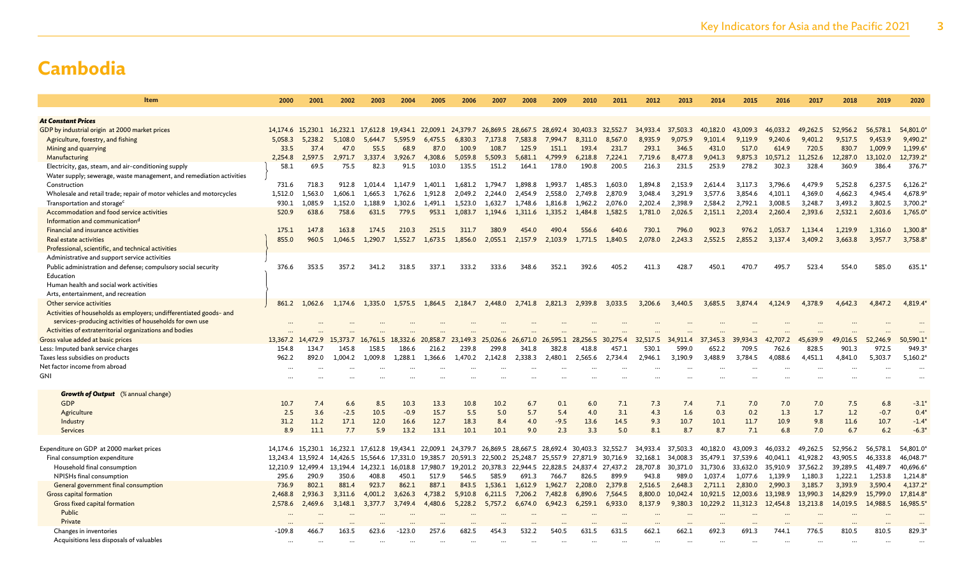| Item                                                                 | 2000      | 2001              | 2002                                                                                      | 2003     | 2004              | 2005     | 2006     | 2007                       | 2008     | 2009                                         | 2010            | 2011     | 2012          | 2013     | 2014     | 2015         | 2016     | 2017     | 2018     | 2019              | 2020     |
|----------------------------------------------------------------------|-----------|-------------------|-------------------------------------------------------------------------------------------|----------|-------------------|----------|----------|----------------------------|----------|----------------------------------------------|-----------------|----------|---------------|----------|----------|--------------|----------|----------|----------|-------------------|----------|
|                                                                      |           |                   |                                                                                           |          |                   |          |          |                            |          |                                              |                 |          |               |          |          |              |          |          |          |                   |          |
| <b>At Constant Prices</b>                                            |           |                   |                                                                                           |          |                   |          |          |                            |          |                                              |                 |          |               |          |          |              |          |          |          |                   |          |
| GDP by industrial origin at 2000 market prices                       |           | 14.174.6 15.230.1 | 16,232.1 17,612.8 19,434.1 22,009.1 24,379.7 26,869.5 28,667.5 28,692.4 30,403.3 32,552.7 |          |                   |          |          |                            |          |                                              |                 |          | 34,933.4      | 37,503.3 | 40.182.0 | 43,009.3     | 46,033.2 | 49.262.5 | 52,956.2 | 56,578.1          | 54,801.0 |
| Agriculture, forestry, and fishing                                   | 5,058.3   | 5,238.2           | 5,108.0                                                                                   | 5,644.7  | 5,595.9           | 6,475.5  | 6,830.3  | 7,173.8                    | 7,583.8  | 7,994.7                                      | 8,311.0         | 8,567.0  | 8,935.9       | 9,075.9  | 9,101.4  | 9,119.9      | 9,240.6  | 9,401.2  | 9,517.5  | 9,453.9           | 9,490.2  |
| Mining and quarrying                                                 | 33.5      | 37.4              | 47.0                                                                                      | 55.5     | 68.9              | 87.0     | 100.9    | 108.7                      | 125.9    | 151.1                                        | 193.4           | 231.7    | 293.1         | 346.5    | 431.0    | 517.0        | 614.9    | 720.5    | 830.7    | 1,009.9           | 1,199.6  |
| Manufacturing                                                        | 2,254.8   | 2.597.5           | 2.971.7                                                                                   | 3,337.4  | 3.926.7           | 4.308.6  | 5,059.8  | 5.509.3                    | 5.681.1  | 4.799.9                                      | 6.218.8         | 7,224.1  | 7.719.6       | 8,477.8  | 9,041.3  | 9,875.3      | 10,571.2 | 11,252.6 | 12,287.0 | 13,102.0          | 12,739.2 |
| Electricity, gas, steam, and air-conditioning supply                 | 58.1      | 69.5              | 75.5                                                                                      | 82.3     | 91.5              | 103.0    | 135.5    | 151.2                      | 164.1    | 178.0                                        | 190.8           | 200.5    | 216.3         | 231.5    | 253.9    | 278.2        | 302.3    | 328.4    | 360.9    | 386.4             | 376.7    |
| Water supply; sewerage, waste management, and remediation activities |           |                   |                                                                                           |          |                   |          |          |                            |          |                                              |                 |          |               |          |          |              |          |          |          |                   |          |
| Construction                                                         | 731.6     | 718.3             | 912.8                                                                                     | 1.014.4  | 1.147.9           | 1.401.1  | 1.681.2  | 1.794.7                    | 1.898.8  | 1.993.7                                      | 1.485.3         | 1.603.0  | 1.894.8       | 2.153.9  | 2,614.4  | 3.117.3      | 3,796.6  | 4,479.9  | 5.252.8  | 6,237.5           | 6,126.2  |
| Wholesale and retail trade; repair of motor vehicles and motorcycles | 1,512.0   | 1,563.0           | 1,606.1                                                                                   | 1.665.3  | 1,762.6           | 1.912.8  | 2.049.2  | 2.244.0                    | 2.454.9  | 2,558.0                                      | 2.749.8         | 2,870.9  | 3.048.4       | 3.291.9  | 3,577.6  | 3.854.6      | 4,101.1  | 4,369.0  | 4,662.3  | 4,945.4           | 4,678.9  |
| Transportation and storage <sup>c</sup>                              | 930.1     | 1,085.9           | 1,152.0                                                                                   | 1.188.9  | 1,302.6           | 1.491.1  | 1,523.0  | 1,632.7                    | 1,748.6  | 1,816.8                                      | 1,962.2         | 2,076.0  | 2,202.4       | 2,398.9  | 2,584.2  | 2,792.1      | 3,008.5  | 3,248.7  | 3,493.2  | 3,802.5           | 3,700.2  |
| Accommodation and food service activities                            | 520.9     | 638.6             | 758.6                                                                                     | 631.5    | 779.5             | 953.1    | 1,083.7  | 1.194.6                    | 1,311.6  | 1,335.2                                      | 1,484.8         | 1,582.5  | 1,781.0       | 2,026.5  | 2,151.1  | 2,203.4      | 2,260.4  | 2,393.6  | 2,532.1  | 2,603.6           | 1,765.0  |
| Information and communication <sup>d</sup>                           |           |                   |                                                                                           |          |                   |          |          |                            |          |                                              |                 |          |               |          |          |              |          |          |          |                   |          |
| Financial and insurance activities                                   | 175.1     | 147.8             | 163.8                                                                                     | 174.5    | 210.3             | 251.5    | 311.7    | 380.9                      | 454.0    | 490.4                                        | 556.6           | 640.6    | 730.1         | 796.0    | 902.3    | 976.2        | 1.053.7  | 1.134.4  | 1,219.9  | 1,316.0           | 1,300.8  |
| Real estate activities                                               | 855.0     | 960.5             | 1,046.5                                                                                   | 1,290.7  | 1,552.7           | 1,673.5  | 1,856.0  | 2,055.1                    | 2,157.9  | 2,103.9                                      | 1,771.5         | 1,840.5  | 2,078.0       | 2,243.3  | 2,552.5  | 2,855.2      | 3,137.4  | 3,409.2  | 3,663.8  | 3,957.7           | 3,758.8  |
| Professional, scientific, and technical activities                   |           |                   |                                                                                           |          |                   |          |          |                            |          |                                              |                 |          |               |          |          |              |          |          |          |                   |          |
| Administrative and support service activities                        |           |                   |                                                                                           |          |                   |          |          |                            |          |                                              |                 |          |               |          |          |              |          |          |          |                   |          |
| Public administration and defense; compulsory social security        | 376.6     | 353.5             | 357.2                                                                                     | 341.2    | 318.5             | 337.1    | 333.2    | 333.6                      | 348.6    | 352.1                                        | 392.6           | 405.2    | 411.3         | 428.7    | 450.1    | 470.7        | 495.7    | 523.4    | 554.0    | 585.0             | 635.1    |
| Education                                                            |           |                   |                                                                                           |          |                   |          |          |                            |          |                                              |                 |          |               |          |          |              |          |          |          |                   |          |
| Human health and social work activities                              |           |                   |                                                                                           |          |                   |          |          |                            |          |                                              |                 |          |               |          |          |              |          |          |          |                   |          |
| Arts, entertainment, and recreation                                  |           |                   |                                                                                           |          |                   |          |          |                            |          |                                              |                 |          |               |          |          |              |          |          |          |                   |          |
| Other service activities                                             | 861.2     | 1,062.6           | 1,174.6                                                                                   | 1,335.0  | 1,575.5           | 1,864.5  | 2,184.7  | 2,448.0                    | 2,741.8  |                                              | 2,821.3 2,939.8 | 3,033.5  | 3,206.6       | 3,440.5  | 3,685.5  | 3,874.4      | 4,124.9  | 4,378.9  | 4,642.3  | 4,847.2           | 4,819.4  |
| Activities of households as employers; undifferentiated goods- and   |           |                   |                                                                                           |          |                   |          |          |                            |          |                                              |                 |          |               |          |          |              |          |          |          |                   |          |
| services-producing activities of households for own use              |           |                   |                                                                                           |          |                   |          |          |                            |          |                                              |                 |          |               |          |          |              |          |          |          |                   |          |
| Activities of extraterritorial organizations and bodies              |           |                   |                                                                                           |          |                   |          |          |                            |          |                                              |                 |          |               |          |          |              |          |          |          |                   |          |
|                                                                      |           |                   |                                                                                           |          |                   |          |          |                            |          |                                              |                 |          |               |          |          |              |          |          |          |                   |          |
| Gross value added at basic prices                                    |           | 13,367.2 14,472.9 | 15,373.7                                                                                  | 16,761.5 | 18,332.6          | 20,858.7 | 23,149.3 | 25,026.6                   | 26,671.0 | 26,595.1                                     | 28,256.5        | 30,275.4 | -32<br>.517.5 | 34,911.4 | 37,345.3 | ,934.3<br>39 | 42,707.2 | .639.9   | 49,016.5 | 52,246.9<br>972.5 | 50,590.1 |
| Less: Imputed bank service charges                                   | 154.8     | 134.7             | 145.8                                                                                     | 158.5    | 186.6             | 216.2    | 239.8    | 299.8                      | 341.8    | 382.8                                        | 418.8           | 457.1    | 530.1         | 599.0    | 652.2    | 709.5        | 762.6    | 828.5    | 901.3    |                   | 949.3    |
| Taxes less subsidies on products                                     | 962.2     | 892.0             | 1.004.2                                                                                   | 1.009.8  | 1.288.1           | 1.366.6  | 1.470.2  | 2,142.8                    | 2,338.3  | 2,480.1                                      | 2.565.6         | 2,734.4  | 2.946.1       | 3.190.9  | 3.488.9  | 3.784.5      | 4.088.6  | 4.451.1  | 4,841.0  | 5.303.7           | 5,160.2  |
| Net factor income from abroad                                        |           |                   |                                                                                           |          |                   |          |          |                            |          |                                              |                 |          |               |          |          |              |          |          |          |                   |          |
| <b>GNI</b>                                                           |           |                   |                                                                                           |          |                   |          |          |                            |          |                                              |                 |          |               |          |          |              |          |          |          |                   |          |
| <b>Growth of Output</b> (% annual change)                            |           |                   |                                                                                           |          |                   |          |          |                            |          |                                              |                 |          |               |          |          |              |          |          |          |                   |          |
| <b>GDP</b>                                                           | 10.7      | 7.4               | 6.6                                                                                       | 8.5      | 10.3              | 13.3     | 10.8     | 10.2                       | 6.7      | 0.1                                          | 6.0             | 7.1      | 7.3           | 7.4      | 7.1      | 7.0          | 7.0      | 7.0      | 7.5      | 6.8               | $-3.1'$  |
| Agriculture                                                          | 2.5       | 3.6               | $-2.5$                                                                                    | 10.5     | $-0.9$            | 15.7     | 5.5      | 5.0                        | 5.7      | 5.4                                          | 4.0             | 3.1      | 4.3           | 1.6      | 0.3      | 0.2          | 1.3      | 1.7      | 1.2      | $-0.7$            | 0.4      |
| Industry                                                             | 31.2      | 11.2              | 17.1                                                                                      | 12.0     | 16.6              | 12.7     | 18.3     | 8.4                        | 4.0      | $-9.5$                                       | 13.6            | 14.5     | 9.3           | 10.7     | 10.1     | 11.7         | 10.9     | 9.8      | 11.6     | 10.7              | $-1.4$   |
| <b>Services</b>                                                      | 8.9       | 11.1              | 7.7                                                                                       | 5.9      | 13.2              | 13.1     | 10.1     | 10.1                       | 9.0      | 2.3                                          | 3.3             | 5.0      | 8.1           | 8.7      | 8.7      | 7.1          | 6.8      | 7.0      | 6.7      | 6.2               | $-6.3'$  |
|                                                                      |           |                   |                                                                                           |          |                   |          |          |                            |          |                                              |                 |          |               |          |          |              |          |          |          |                   |          |
| Expenditure on GDP at 2000 market prices                             |           | 14.174.6 15.230.1 | 16, 232.1 17, 612.8 19, 434.1 22, 009.1 24, 379.7                                         |          |                   |          |          |                            |          | 26,869.5 28,667.5 28,692.4 30,403.3 32,552.7 |                 |          | 34.933.4      | 37,503.3 | 40.182.0 | 43.009.3     | 46.033.2 | 49.262.5 | 52.956.2 | 56.578.1          | 54,801.0 |
| Final consumption expenditure                                        |           | 13.243.4 13.592.4 | 14,426.5 15,564.6                                                                         |          | 17.331.0 19.385.7 |          |          | 20,591.3 22,500.2 25,248.7 |          | 25,557.9 27,871.9 30,716.9                   |                 |          | 32,168.1      | 34,008.3 | 35.479.1 | 37,539.6     | 40,041.1 | 41,928.2 | 43,905.5 | 46,333.8          | 46,048.7 |
| Household final consumption                                          |           | 12,210.9 12,499.4 | 13,194.4 14,232.1                                                                         |          | 16,018.8          | 17,980.7 |          | 19,201.2 20,378.3 22,944.5 |          | 22,828.5 24,837.4 27,437.2                   |                 |          | 28,707.8      | 30,371.0 | 31,730.6 | 33,632.0     | 35,910.9 | 37,562.2 | 39,289.5 | 41,489.7          | 40,696.6 |
| NPISHs final consumption                                             | 295.6     | 290.9             | 350.6                                                                                     | 408.8    | 450.1             | 517.9    | 546.5    | 585.9                      | 691.3    | 766.7                                        | 826.5           | 899.9    | 943.8         | 989.0    | 1,037.4  | 1,077.6      | 1,139.9  | 1,180.3  | 1,222.1  | 1,253.8           | 1,214.8  |
| General government final consumption                                 | 736.9     | 802.1             | 881.4                                                                                     | 923.7    | 862.1             | 887.1    | 843.5    | 1.536.1                    | 1.612.9  | 1.962.7                                      | 2.208.0         | 2,379.8  | 2,516.5       | 2.648.3  | 2,711.1  | 2,830.0      | 2,990.3  | 3,185.7  | 3,393.9  | 3,590.4           | 4,137.2  |
| Gross capital formation                                              | 2,468.8   | 2,936.3           | 3,311.6                                                                                   | 4,001.2  | 3,626.3           | 4,738.2  | 5,910.8  | 6,211.5                    | 7,206.2  | 7,482.8                                      | 6,890.6         | 7,564.5  | 8,800.0       | 10,042.4 | 10,921.5 |              | 13,198.9 | 13,990.3 | 14,829.9 | 15,799.0          | 17,814.8 |
|                                                                      |           |                   |                                                                                           |          |                   |          |          |                            |          |                                              |                 |          |               |          |          | 12,003.6     |          |          |          |                   | 16,985.5 |
| Gross fixed capital formation                                        | 2,578.6   | 2,469.6           | 3,148.1                                                                                   | 3,377.7  | 3,749.4           | 4,480.6  | 5,228.2  | 5,757.2                    | 6,674.0  | 6,942.3                                      | 6,259.1         | 6,933.0  | 8,137.9       | 9,380.3  | 10,229.2 | 11,312.3     | 12,454.8 | 13,213.8 | 14,019.5 | 14,988.5          |          |
| Public                                                               | $\ddotsc$ |                   |                                                                                           |          |                   |          |          |                            |          |                                              |                 |          |               |          |          |              |          |          |          |                   |          |
| Private                                                              |           |                   |                                                                                           |          |                   |          |          |                            |          |                                              |                 |          |               |          |          |              |          |          |          |                   |          |
| Changes in inventories                                               | $-109.8$  | 466.7             | 163.5                                                                                     | 623.6    | $-123.0$          | 257.6    | 682.5    | 454.3                      | 532.2    | 540.5                                        | 631.5           | 631.5    | 662.1         | 662.1    | 692.3    | 691.3        | 744.1    | 776.5    | 810.5    | 810.5             | 829.3    |
| Acquisitions less disposals of valuables                             | $\ddotsc$ |                   |                                                                                           |          |                   |          |          |                            |          |                                              |                 |          |               |          |          |              |          |          |          |                   |          |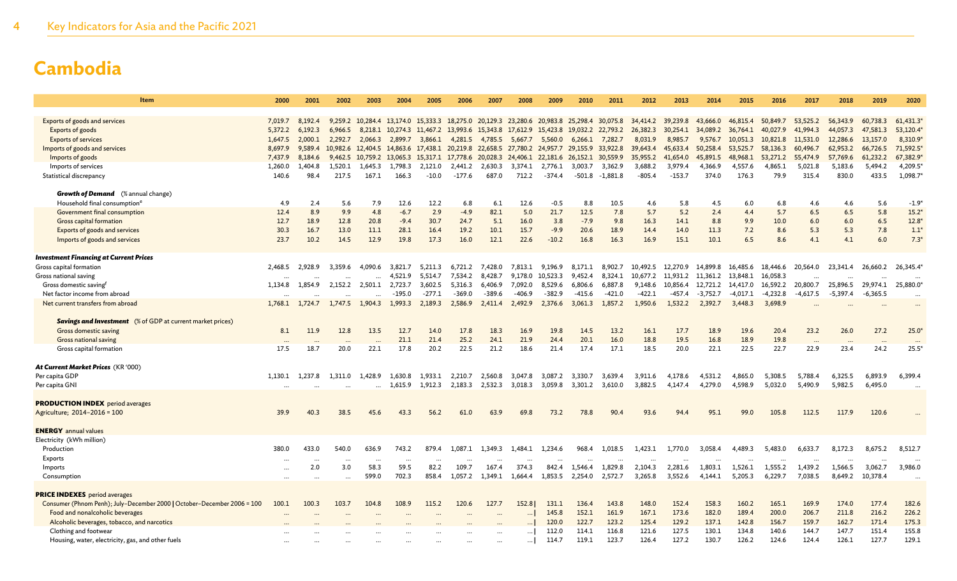| <b>Item</b>                                                             | 2000               | 2001               | 2002               | 2003                    | 2004            | 2005     | 2006                                                                                                                         | 2007      | 2008      | 2009      | 2010               | 2011            | 2012                         | 2013     | 2014                | 2015                          | 2016              | 2017                 | 2018                 | 2019                 | 2020                  |
|-------------------------------------------------------------------------|--------------------|--------------------|--------------------|-------------------------|-----------------|----------|------------------------------------------------------------------------------------------------------------------------------|-----------|-----------|-----------|--------------------|-----------------|------------------------------|----------|---------------------|-------------------------------|-------------------|----------------------|----------------------|----------------------|-----------------------|
|                                                                         |                    |                    |                    |                         |                 |          |                                                                                                                              |           |           |           |                    |                 |                              |          |                     |                               |                   |                      |                      |                      |                       |
| Exports of goods and services                                           | 7,019.7            | 8,192.4            |                    | 9,259.2 10,284.4        |                 |          | 13,174.0 15,333.3 18,275.0 20,129.3 23,280.6 20,983.8 25,298.4 30,075.8                                                      |           |           |           |                    |                 | 34,414.2 39,239.8            |          | 43,666.0            | 46,815.4                      | 50,849.7          | 53.525.2             | 56,343.9             | 60,738.3             | 61,431.3              |
| Exports of goods                                                        | 5,372.2<br>1,647.5 | 6,192.3<br>2,000.1 | 6,966.5<br>2,292.7 | 2,066.3                 | 2,899.7         | 3,866.1  | 8,218.1 10,274.3 11,467.2 13,993.6 15,343.8 17,612.9 15,423.8 19,032.2 22,793.2                                              |           |           |           |                    |                 | 26,382.3 30,254.1<br>8,031.9 | 8,985.7  | 34,089.2<br>9,576.7 | 36,764.1<br>10,051.3 10,821.8 | 40,027.9          | 41,994.3<br>11,531.0 | 44,057.3<br>12,286.6 | 47,581.3<br>13,157.0 | 53,120.4*<br>8,310.9* |
| <b>Exports of services</b><br>Imports of goods and services             | 8,697.9            | 9,589.4            |                    |                         |                 |          | 4,281.5 4,785.5 5,667.7 5,560.0<br>10,982.6 12,404.5 14,863.6 17,438.1 20,219.8 22,658.5 27,780.2 24,957.7 29,155.9 33,922.8 |           |           |           |                    | 6,266.1 7,282.7 | 39,643.4 45,633.4            |          | 50,258.4            | 53,525.7                      | 58,136.3          | 60,496.7             | 62,953.2             | 66,726.5             | 71,592.5              |
| Imports of goods                                                        | 7,437.9            | 8,184.6            |                    |                         |                 |          | 9,462.5 10,759.2 13,065.3 15,317.1 17,778.6 20,028.3 24,406.1 22,181.6 26,152.1 30,559.9                                     |           |           |           |                    |                 | 35,955.2                     | 41,654.0 | 45,891.5            | 48,968.1                      | 53,271.2          | 55,474.9             | 57,769.6             | 61,232.2             | 67,382.9*             |
| Imports of services                                                     | 1,260.0            | 1,404.8            | 1,520.1            | 1,645.3                 | 1,798.3         | 2,121.0  | 2,441.2                                                                                                                      | 2,630.3   | 3,374.1   | 2,776.1   | 3,003.7            | 3,362.9         | 3,688.2                      | 3,979.4  | 4,366.9             | 4,557.6                       | 4,865.1           | 5,021.8              | 5,183.6              | 5,494.2              | 4,209.5*              |
| Statistical discrepancy                                                 | 140.6              | 98.4               | 217.5              | 167.1                   | 166.3           | $-10.0$  | $-177.6$                                                                                                                     | 687.0     | 712.2     | $-374.4$  | $-501.8$           | $-1,881.8$      | $-805.4$                     | $-153.7$ | 374.0               | 176.3                         | 79.9              | 315.4                | 830.0                | 433.5                | 1,098.7*              |
|                                                                         |                    |                    |                    |                         |                 |          |                                                                                                                              |           |           |           |                    |                 |                              |          |                     |                               |                   |                      |                      |                      |                       |
| <b>Growth of Demand</b> (% annual change)                               |                    |                    |                    |                         |                 |          |                                                                                                                              |           |           |           |                    |                 |                              |          |                     |                               |                   |                      |                      |                      |                       |
| Household final consumption <sup>e</sup>                                | 4.9                | 2.4                | 5.6                | 7.9                     | 12.6            | 12.2     | 6.8                                                                                                                          | 6.1       | 12.6      | $-0.5$    | 8.8                | 10.5            | 4.6                          | 5.8      | 4.5                 | 6.0                           | 6.8               | 4.6                  | 4.6                  | 5.6                  | $-1.9*$               |
| Government final consumption                                            | 12.4               | 8.9                | 9.9                | 4.8                     | $-6.7$          | 2.9      | $-4.9$                                                                                                                       | 82.1      | 5.0       | 21.7      | 12.5               | 7.8             | 5.7                          | 5.2      | 2.4                 | 4.4                           | 5.7               | 6.5                  | 6.5                  | 5.8                  | $15.2*$               |
| Gross capital formation                                                 | 12.7               | 18.9               | 12.8               | 20.8                    | $-9.4$          | 30.7     | 24.7                                                                                                                         | 5.1       | 16.0      | 3.8       | $-7.9$             | 9.8             | 16.3                         | 14.1     | 8.8                 | 9.9                           | 10.0              | 6.0                  | 6.0                  | 6.5                  | $12.8*$               |
| Exports of goods and services                                           | 30.3               | 16.7               | 13.0               | 11.1                    | 28.1            | 16.4     | 19.2                                                                                                                         | 10.1      | 15.7      | $-9.9$    | 20.6               | 18.9            | 14.4                         | 14.0     | 11.3                | 7.2                           | 8.6               | 5.3                  | 5.3                  | 7.8                  | $1.1*$                |
| Imports of goods and services                                           | 23.7               | 10.2               | 14.5               | 12.9                    | 19.8            | 17.3     | 16.0                                                                                                                         | 12.1      | 22.6      | $-10.2$   | 16.8               | 16.3            | 16.9                         | 15.1     | 10.1                | 6.5                           | 8.6               | 4.1                  | 4.1                  | 6.0                  | $7.3*$                |
| <b>Investment Financing at Current Prices</b>                           |                    |                    |                    |                         |                 |          |                                                                                                                              |           |           |           |                    |                 |                              |          |                     |                               |                   |                      |                      |                      |                       |
| Gross capital formation                                                 | 2,468.5            | 2,928.9            | 3,359.6            |                         | 4,090.6 3,821.7 | 5,211.3  | 6,721.2                                                                                                                      | 7,428.0   | 7,813.1   | 9,196.9   | 8,171.1            | 8,902.7         | 10,492.5 12,270.9            |          | 14,899.8            | 16,485.6                      | 18,446.6 20,564.0 |                      | 23,341.4             | 26,660.2             | 26,345.4*             |
| Gross national saving                                                   | $\ddotsc$          | $\cdots$           | $\cdots$           | $\ddotsc$               | 4,521.9         | 5,514.7  | 7,534.2                                                                                                                      | 8,428.7   | 9,178.0   | 10,523.3  | 9,452.4            | 8,324.1         | 10,677.2                     | 11,931.2 | 11,361.2            | 13,848.1                      | 16,058.3          | $\ddotsc$            | $\ddotsc$            |                      |                       |
| Gross domestic saving <sup>f</sup>                                      | 1,134.8            | 1,854.9            |                    | 2,152.2 2,501.1 2,723.7 |                 | 3,602.5  | 5,316.3                                                                                                                      | 6,406.9   | 7,092.0   | 8,529.6   | 6,806.6            | 6,887.8         | 9,148.6                      | 10,856.4 | 12,721.2            | 14,417.0                      | 16,592.2          | 20,800.7             | 25,896.5             | 29,974.1             | 25,880.0              |
| Net factor income from abroad                                           | $\ddotsc$          |                    |                    | $\cdots$                | $-195.0$        | $-277.1$ | $-369.0$                                                                                                                     | $-389.6$  | $-406.9$  | $-382.9$  | $-415.6$           | $-421.0$        | $-422.1$                     | $-457.4$ | $-3,752.7$          | -4,017.1                      | $-4,232.8$        | $-4,617.5$           | $-5,397.4$           | $-6,365.5$           | $\cdots$              |
| Net current transfers from abroad                                       | 1,768.1            | 1,724.7            | 1,747.5            | 1,904.3                 | 1,993.3         | 2,189.3  | 2,586.9                                                                                                                      | 2,411.4   | 2,492.9   | 2,376.6   | 3,061.3            | 1,857.2         | 1,950.6                      | 1,532.2  | 2,392.7             | 3,448.3                       | 3,698.9           |                      |                      |                      |                       |
|                                                                         |                    |                    |                    |                         |                 |          |                                                                                                                              |           |           |           |                    |                 |                              |          |                     |                               |                   |                      |                      |                      |                       |
| <b>Savings and Investment</b> (% of GDP at current market prices)       |                    |                    |                    |                         |                 |          |                                                                                                                              |           |           |           |                    |                 |                              |          |                     |                               |                   |                      |                      |                      |                       |
| Gross domestic saving                                                   | 8.1                | 11.9               | 12.8               | 13.5                    | 12.7            | 14.0     | 17.8                                                                                                                         | 18.3      | 16.9      | 19.8      | 14.5               | 13.2            | 16.1                         | 17.7     | 18.9                | 19.6                          | 20.4              | 23.2                 | 26.0                 | 27.2                 | $25.0*$               |
| <b>Gross national saving</b>                                            |                    |                    |                    |                         | 21.1            | 21.4     | 25.2                                                                                                                         | 24.1      | 21.9      | 24.4      | 20.1               | 16.0            | 18.8                         | 19.5     | 16.8                | 18.9                          | 19.8              |                      | $\ddotsc$            |                      |                       |
| Gross capital formation                                                 | 17.5               | 18.7               | 20.0               | 22.1                    | 17.8            | 20.2     | 22.5                                                                                                                         | 21.2      | 18.6      | 21.4      | 17.4               | 17.1            | 18.5                         | 20.0     | 22.1                | 22.5                          | 22.7              | 22.9                 | 23.4                 | 24.2                 | $25.5*$               |
|                                                                         |                    |                    |                    |                         |                 |          |                                                                                                                              |           |           |           |                    |                 |                              |          |                     |                               |                   |                      |                      |                      |                       |
| At Current Market Prices (KR '000)<br>Per capita GDP                    | 1,130.1            | 1.237.8            | 1.311.0            | 1,428.9                 | 1.630.8         | 1,933.1  | 2,210.7                                                                                                                      | 2,560.8   | 3,047.8   | 3,087.2   |                    | 3,639.4         | 3,911.6                      | 4,178.6  | 4,531.2             | 4,865.0                       | 5,308.5           | 5,788.4              | 6,325.5              | 6,893.9              | 6,399.4               |
| Per capita GNI                                                          |                    |                    |                    |                         | 1,615.9         | 1,912.3  | 2,183.3                                                                                                                      | 2,532.3   | 3,018.3   | 3,059.8   | 3,330.7<br>3,301.2 | 3,610.0         | 3,882.5                      | 4,147.4  | 4,279.0             | 4.598.9                       | 5,032.0           | 5,490.9              | 5,982.5              | 6,495.0              |                       |
|                                                                         | $\ddotsc$          |                    |                    | $\cdots$                |                 |          |                                                                                                                              |           |           |           |                    |                 |                              |          |                     |                               |                   |                      |                      |                      |                       |
| <b>PRODUCTION INDEX</b> period averages                                 |                    |                    |                    |                         |                 |          |                                                                                                                              |           |           |           |                    |                 |                              |          |                     |                               |                   |                      |                      |                      |                       |
| Agriculture; 2014-2016 = 100                                            | 39.9               | 40.3               | 38.5               | 45.6                    | 43.3            | 56.2     | 61.0                                                                                                                         | 63.9      | 69.8      | 73.2      | 78.8               | 90.4            | 93.6                         | 94.4     | 95.1                | 99.0                          | 105.8             | 112.5                | 117.9                | 120.6                |                       |
|                                                                         |                    |                    |                    |                         |                 |          |                                                                                                                              |           |           |           |                    |                 |                              |          |                     |                               |                   |                      |                      |                      |                       |
| <b>ENERGY</b> annual values                                             |                    |                    |                    |                         |                 |          |                                                                                                                              |           |           |           |                    |                 |                              |          |                     |                               |                   |                      |                      |                      |                       |
| Electricity (kWh million)                                               |                    |                    |                    |                         |                 |          |                                                                                                                              |           |           |           |                    |                 |                              |          |                     |                               |                   |                      |                      |                      |                       |
| Production                                                              | 380.0              | 433.0              | 540.0              | 636.9                   | 743.2           | 879.4    | 1.087.1                                                                                                                      | 1,349.3   | 1.484.1   | 1,234.6   | 968.4              | 1,018.5         | 1,423.1                      | 1,770.0  | 3,058.4             | 4,489.3                       | 5,483.0           | 6,633.7              | 8,172.3              | 8,675.2              | 8,512.7               |
| Exports                                                                 | $\cdots$           | $\cdots$           | $\cdots$           | $\cdots$                | $\cdots$        | $\cdots$ |                                                                                                                              |           |           | $\ddotsc$ | $\cdots$           | $\cdots$        | $\cdots$                     | $\cdots$ | $\cdots$            | $\cdots$                      | $\cdots$          | $\cdots$             | $\cdots$             | $\cdots$             | $\ddotsc$             |
| Imports                                                                 | $\ddotsc$          | 2.0                | 3.0                | 58.3                    | 59.5            | 82.2     | 109.7                                                                                                                        | 167.4     | 374.3     | 842.4     | 1.546.4            | 1,829.8         | 2,104.3                      | 2,281.6  | 1,803.1             | 1,526.1                       | 1,555.2           | 1,439.2              | 1,566.5              | 3,062.7              | 3,986.0               |
| Consumption                                                             | $\cdots$           |                    | $\cdots$           | 599.0                   | 702.3           | 858.4    | 1,057.2                                                                                                                      | 1,349.1   | 1,664.4   | 1,853.5   | 2,254.0            | 2,572.7         | 3,265.8                      | 3,552.6  | 4,144.1             | 5,205.3                       | 6,229.7           | 7,038.5              | 8,649.2              | 10,378.4             | $\cdots$              |
| <b>PRICE INDEXES</b> period averages                                    |                    |                    |                    |                         |                 |          |                                                                                                                              |           |           |           |                    |                 |                              |          |                     |                               |                   |                      |                      |                      |                       |
| Consumer (Phnom Penh); July-December 2000   October-December 2006 = 100 | 100.1              | 100.3              | 103.7              | 104.8                   | 108.9           | 115.2    | 120.6                                                                                                                        | 127.7     | 152.8     | 131.1     | 136.4              | 143.8           | 148.0                        | 152.4    | 158.3               | 160.2                         | 165.1             | 169.9                | 174.0                | 177.4                | 182.6                 |
| Food and nonalcoholic beverages                                         |                    |                    |                    |                         |                 |          |                                                                                                                              |           | $\ddotsc$ | 145.8     | 152.1              | 161.9           | 167.1                        | 173.6    | 182.0               | 189.4                         | 200.0             | 206.7                | 211.8                | 216.2                | 226.2                 |
| Alcoholic beverages, tobacco, and narcotics                             |                    |                    |                    |                         |                 |          |                                                                                                                              |           |           | 120.0     | 122.7              | 123.2           | 125.4                        | 129.2    | 137.1               | 142.8                         | 156.7             | 159.7                | 162.7                | 171.4                | 175.3                 |
| Clothing and footwear                                                   |                    |                    |                    |                         |                 |          |                                                                                                                              |           | $\cdots$  | 112.0     | 114.1              | 116.8           | 121.6                        | 127.5    | 130.1               | 134.8                         | 140.6             | 144.7                | 147.7                | 151.4                | 155.8                 |
| Housing, water, electricity, gas, and other fuels                       |                    |                    |                    |                         |                 |          |                                                                                                                              | $\ddotsc$ | $\cdots$  | 114.7     | 119.1              | 123.7           | 126.4                        | 127.2    | 130.7               | 126.2                         | 124.6             | 124.4                | 126.1                | 127.7                | 129.1                 |
|                                                                         |                    |                    |                    |                         |                 |          |                                                                                                                              |           |           |           |                    |                 |                              |          |                     |                               |                   |                      |                      |                      |                       |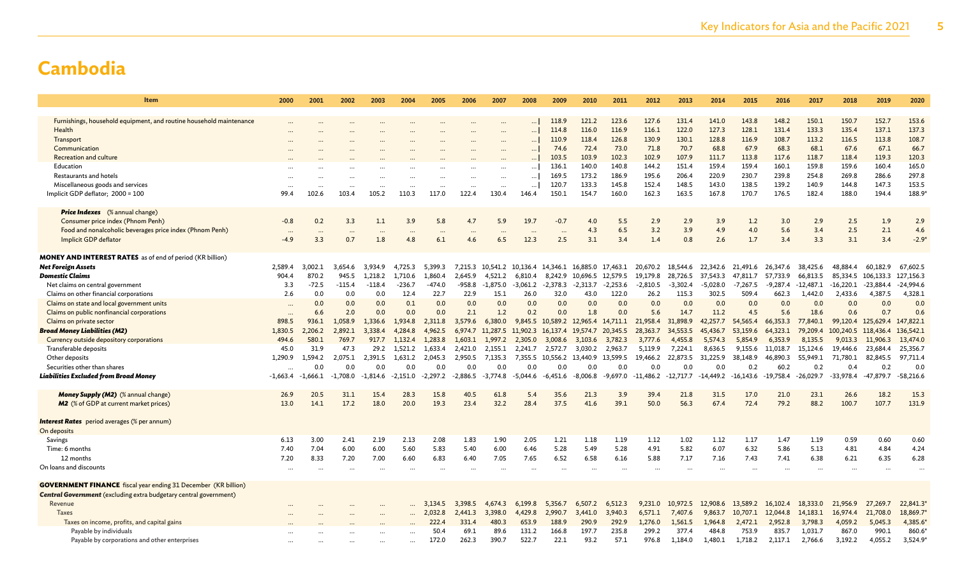| Item                                                                     | 2000       | 2001       | 2002       | 2003       | 2004       | 2005       | 2006       | 2007                      | 2008       | 2009       | 2010                               | 2011       | 2012        | 2013       | 2014       | 2015        | 2016        | 2017        | 2018               | 2019        | 2020        |
|--------------------------------------------------------------------------|------------|------------|------------|------------|------------|------------|------------|---------------------------|------------|------------|------------------------------------|------------|-------------|------------|------------|-------------|-------------|-------------|--------------------|-------------|-------------|
|                                                                          |            |            |            |            |            |            |            |                           |            |            |                                    |            |             |            |            |             |             |             |                    |             |             |
| Furnishings, household equipment, and routine household maintenance      |            |            |            |            |            |            |            |                           |            | 118.9      | 121.2                              | 123.6      | 127.6       | 131.4      | 141.0      | 143.8       | 148.2       | 150.1       | 150.7              | 152.7       | 153.6       |
| Health                                                                   |            |            |            |            |            |            |            | $\cdots$                  | $\ddotsc$  | 114.8      | 116.0                              | 116.9      | 116.1       | 122.0      | 127.3      | 128.1       | 131.4       | 133.3       | 135.4              | 137.1       | 137.3       |
| Transport                                                                |            |            |            |            |            |            |            | $\cdots$                  | $\ddots$   | 110.9      | 118.4                              | 126.8      | 130.9       | 130.1      | 128.8      | 116.9       | 108.7       | 113.2       | 116.5              | 113.8       | 108.7       |
| Communication                                                            |            |            |            |            |            |            |            | $\cdots$                  | $\cdots$   | 74.6       | 72.4                               | 73.0       | 71.8        | 70.7       | 68.8       | 67.9        | 68.3        | 68.1        | 67.6               | 67.1        | 66.7        |
| Recreation and culture                                                   |            |            |            |            |            |            |            |                           | $\ddotsc$  | 103.5      | 103.9                              | 102.3      | 102.9       | 107.9      | 111.7      | 113.8       | 117.6       | 118.7       | 118.4              | 119.3       | 120.3       |
| Education                                                                |            |            |            |            |            |            |            |                           | $\cdots$   | 136.1      | 140.0                              | 140.8      | 144.2       | 151.4      | 159.4      | 159.4       | 160.1       | 159.8       | 159.6              | 160.4       | 165.0       |
| Restaurants and hotels                                                   |            |            |            |            |            |            |            | $\cdots$                  | $\ldots$   | 169.5      | 173.2                              | 186.9      | 195.6       | 206.4      | 220.9      | 230.7       | 239.8       | 254.8       | 269.8              | 286.6       | 297.8       |
| Miscellaneous goods and services                                         |            |            |            |            |            | $\ddotsc$  | $\cdots$   | $\cdots$                  | $\cdots$   | 120.7      | 133.3                              | 145.8      | 152.4       | 148.5      | 143.0      | 138.5       | 139.2       | 140.9       | 144.8              | 147.3       | 153.5       |
| Implicit GDP deflator; 2000 = 100                                        | 99.4       | 102.6      | 103.4      | 105.2      | 110.3      | 117.0      | 122.4      | 130.4                     | 146.4      | 150.1      | 154.7                              | 160.0      | 162.3       | 163.5      | 167.8      | 170.7       | 176.5       | 182.4       | 188.0              | 194.4       | 188.9*      |
| <b>Price Indexes</b> (% annual change)                                   |            |            |            |            |            |            |            |                           |            |            |                                    |            |             |            |            |             |             |             |                    |             |             |
| Consumer price index (Phnom Penh)                                        | $-0.8$     | 0.2        | 3.3        | 1.1        | 3.9        | 5.8        | 4.7        | 5.9                       | 19.7       | $-0.7$     | 4.0                                | 5.5        | 2.9         | 2.9        | 3.9        | 1.2         | 3.0         | 2.9         | 2.5                | 1.9         | 2.9         |
| Food and nonalcoholic beverages price index (Phnom Penh)                 | $\cdots$   | $\cdots$   | $\cdots$   | $\cdots$   | $\cdots$   | $\cdots$   | $\cdots$   | $\cdots$                  | $\ddotsc$  | $\ddotsc$  | 4.3                                | 6.5        | 3.2         | 3.9        | 4.9        | 4.0         | 5.6         | 3.4         | 2.5                | 2.1         | 4.6         |
| Implicit GDP deflator                                                    | $-4.9$     | 3.3        | 0.7        | 1.8        | 4.8        | 6.1        | 4.6        | 6.5                       | 12.3       | 2.5        | 3.1                                | 3.4        | 1.4         | 0.8        | 2.6        | 1.7         | 3.4         | 3.3         | 3.1                | 3.4         | $-2.9*$     |
| <b>MONEY AND INTEREST RATES</b> as of end of period (KR billion)         |            |            |            |            |            |            |            |                           |            |            |                                    |            |             |            |            |             |             |             |                    |             |             |
| <b>Net Foreign Assets</b>                                                | 2,589.4    | 3.002.1    | 3.654.6    | 3,934.9    | 4,725.3    | 5.399.3    |            | 7,215.3 10,541.2 10,136.4 |            |            | 14,346.1 16,885.0                  | 17,463.1   | 20.670.2    | 18.544.6   | 22.342.6   | 21,491.6    | 26,347.6    | 38.425.6    | 48.884.4           | 60.182.9    | 67,602.5    |
| Domestic Claims                                                          | 904.4      | 870.2      | 945.5      | 1,218.2    | 1,710.6    | 1,860.4    | 2,645.9    | 4,521.2                   | 6,810.4    |            | 8,242.9 10,696.5                   | 12,579.5   | 19,179.8    | 28,726.5   | 37,543.3   | 47,811.7    | 57,733.9    | 66,813.5    | 85,334.5 106,133.3 |             | 127,156.3   |
| Net claims on central government                                         | 3.3        | $-72.5$    | $-115.4$   | $-118.4$   | $-236.7$   | $-474.0$   | -958.8     | $-1,875.0$                | $-3,061.2$ | $-2,378.3$ | $-2,313.7$                         | $-2,253.6$ | $-2,810.5$  | $-3,302.4$ | $-5,028.0$ | $-7,267.5$  | $-9,287.4$  | $-12,487.1$ | $-16,220.1$        | $-23,884.4$ | $-24,994.6$ |
| Claims on other financial corporations                                   | 2.6        | 0.0        | 0.0        | 0.0        | 12.4       | 22.7       | 22.9       | 15.1                      | 26.0       | 32.0       | 43.0                               | 122.0      | 26.2        | 115.3      | 302.5      | 509.4       | 662.3       | 1,442.0     | 2,433.6            | 4,387.5     | 4,328.1     |
| Claims on state and local government units                               |            | 0.0        | 0.0        | 0.0        | 0.1        | 0.0        | 0.0        | 0.0                       | 0.0        | 0.0        | 0.0                                | 0.0        | 0.0         | 0.0        | 0.0        | 0.0         | 0.0         | 0.0         | 0.0                | 0.0         | 0.0         |
| Claims on public nonfinancial corporations                               | $\ddots$   | 6.6        | 2.0        | 0.0        | 0.0        | 0.0        | 2.1        | 1.2                       | 0.2        | 0.0        | 1.8                                | 0.0        | 5.6         | 14.7       | 11.2       | 4.5         | 5.6         | 18.6        | 0.6                | 0.7         | 0.6         |
| Claims on private sector                                                 | 898.5      | 936.1      | 1,058.9    | 1,336.6    | 1.934.8    | 2,311.8    | 3,579.6    | 6,380.0                   |            |            | 9,845.5 10,589.2 12,965.4 14,711.1 |            | 21,958.4    | 31,898.9   | 42,257.7   | 54,565.4    | 66,353.3    | 77,840.1    | 99,120.4 125,629.4 |             | 147,822.1   |
| <b>Broad Money Liabilities (M2)</b>                                      | 1,830.5    | 2,206.2    | 2,892.1    | 3,338.4    | 4,284.8    | 4.962.5    | 6.974.7    | 11,287.5                  | 11,902.3   |            | 16, 137.4 19, 574.7                | 20,345.5   | 28,363.7    | 34,553.5   | 45,436.7   | 53,159.6    | 64,323.1    | 79,209.4    | 100,240.5          | 118,436.4   | 136,542.1   |
| Currency outside depository corporations                                 | 494.6      | 580.1      | 769.7      | 917.7      | 1.132.4    | 1.283.8    | 1.603.1    | 1,997.2                   | 2,305.0    | 3,008.6    | 3,103.6                            | 3,782.3    | 3,777.6     | 4,455.8    | 5.574.3    | 5,854.9     | 6,353.9     | 8.135.5     | 9,013.3            | 11,906.3    | 13,474.0    |
| Transferable deposits                                                    | 45.0       | 31.9       | 47.3       | 29.2       | 1,521.2    | 1,633.4    | 2,421.0    | 2,155.1                   | 2,241.7    | 2,572.7    | 3,030.2                            | 2,963.7    | 5,119.9     | 7,224.1    | 8,636.5    | 9,155.6     | 11,018.7    | 15,124.6    | 19,446.6           | 23,684.4    | 25,356.7    |
| Other deposits                                                           | 1,290.9    | 1,594.2    | 2,075.1    | 2,391.5    | 1,631.2    | 2,045.3    | 2,950.5    | 7,135.3                   | 7,355.5    |            | 10,556.2 13,440.9                  | 13,599.5   | 19,466.2    | 22,873.5   | 31,225.9   | 38,148.9    | 46,890.3    | 55,949.1    | 71,780.1           | 82,845.5    | 97,711.4    |
| Securities other than shares                                             | $\ddotsc$  | 0.0        | 0.0        | 0.0        | 0.0        | 0.0        | 0.0        | 0.0                       | 0.0        | 0.0        | 0.0                                | 0.0        | 0.0         | 0.0        | 0.0        | 0.2         | 60.2        | 0.2         | 0.4                | 0.2         | 0.0         |
| Liabilities Excluded from Broad Money                                    | $-1,663.4$ | $-1,666.1$ | $-1.708.0$ | $-1.814.6$ | $-2,151.0$ | $-2,297.2$ | $-2,886.5$ | $-3,774.8$                | $-5,044.6$ | -6,451.6   | $-8,006.8$                         | -9,697.0   | $-11,486.2$ | -12,717.7  | -14,449.2  | $-16,143.6$ | $-19,758.4$ | $-26,029.7$ | $-33,978.4$        | $-47,879.7$ | $-58,216.6$ |
|                                                                          |            |            |            |            |            |            |            |                           |            |            |                                    |            |             |            |            |             |             |             |                    |             |             |
| Money Supply (M2) (% annual change)                                      | 26.9       | 20.5       | 31.1       | 15.4       | 28.3       | 15.8       | 40.5       | 61.8                      | 5.4        | 35.6       | 21.3                               | 3.9        | 39.4        | 21.8       | 31.5       | 17.0        | 21.0        | 23.1        | 26.6               | 18.2        | 15.3        |
| M2 (% of GDP at current market prices)                                   | 13.0       | 14.1       | 17.2       | 18.0       | 20.0       | 19.3       | 23.4       | 32.2                      | 28.4       | 37.5       | 41.6                               | 39.1       | 50.0        | 56.3       | 67.4       | 72.4        | 79.2        | 88.2        | 100.7              | 107.7       | 131.9       |
| <b>Interest Rates</b> period averages (% per annum)                      |            |            |            |            |            |            |            |                           |            |            |                                    |            |             |            |            |             |             |             |                    |             |             |
| On deposits                                                              |            |            |            |            |            |            |            |                           |            |            |                                    |            |             |            |            |             |             |             |                    |             |             |
| Savings                                                                  | 6.13       | 3.00       | 2.41       | 2.19       | 2.13       | 2.08       | 1.83       | 1.90                      | 2.05       | 1.21       | 1.18                               | 1.19       | 1.12        | 1.02       | 1.12       | 1.17        | 1.47        | 1.19        | 0.59               | 0.60        | 0.60        |
| Time: 6 months                                                           | 7.40       | 7.04       | 6.00       | 6.00       | 5.60       | 5.83       | 5.40       | 6.00                      | 6.46       | 5.28       | 5.49                               | 5.28       | 4.91        | 5.82       | 6.07       | 6.32        | 5.86        | 5.13        | 4.81               | 4.84        | 4.24        |
| 12 months                                                                | 7.20       | 8.33       | 7.20       | 7.00       | 6.60       | 6.83       | 6.40       | 7.05                      | 7.65       | 6.52       | 6.58                               | 6.16       | 5.88        | 7.17       | 7.16       | 7.43        | 7.41        | 6.38        | 6.21               | 6.35        | 6.28        |
| On loans and discounts                                                   |            | $\ddotsc$  |            |            |            |            |            | $\cdots$                  | $\ddotsc$  |            | $\cdot$ .                          |            |             |            |            | $\ddotsc$   |             | $\ddotsc$   | $\cdots$           | $\cdots$    | $\cdots$    |
| <b>GOVERNMENT FINANCE</b> fiscal year ending 31 December (KR billion)    |            |            |            |            |            |            |            |                           |            |            |                                    |            |             |            |            |             |             |             |                    |             |             |
| <b>Central Government</b> (excluding extra budgetary central government) |            |            |            |            |            |            |            |                           |            |            |                                    |            |             |            |            |             |             |             |                    |             |             |
| Revenue                                                                  |            |            |            |            |            | 3.134.5    | 3,398.5    | 4,674.3                   | 6,199.8    | 5,356.7    | 6,507.2                            | 6.512.3    | 9.231.0     | 10,972.5   | 12,908.6   | 13,589.2    | 16,102.4    | 18,333.0    | 21,956.9           | 27,269.7    | 22,841.3    |
| Taxes                                                                    |            |            |            |            |            | 2,032.8    | 2,441.3    | 3,398.0                   | 4,429.8    | 2,990.7    | 3,441.0                            | 3,940.3    | 6,571.1     | 7,407.6    | 9,863.7    | 10,707.1    | 12,044.8    | 14,183.1    | 16,974.4           | 21,708.0    | 18,869.7    |
| Taxes on income, profits, and capital gains                              |            |            |            |            |            | 222.4      | 331.4      | 480.3                     | 653.9      | 188.9      | 290.9                              | 292.9      | 1,276.0     | 1,561.5    | 1,964.8    | 2,472.1     | 2,952.8     | 3,798.3     | 4,059.2            | 5,045.3     | 4,385.6     |
| Payable by individuals                                                   |            |            |            |            |            | 50.4       | 69.1       | 89.6                      | 131.2      | 166.8      | 197.7                              | 235.8      | 299.2       | 377.4      | 484.8      | 753.9       | 835.7       | 1,031.7     | 867.0              | 990.1       | 860.6       |
| Payable by corporations and other enterprises                            |            |            |            |            |            | 172.0      | 262.3      | 390.7                     | 522.7      | 22.1       | 93.2                               | 57.1       | 976.8       | 1,184.0    | 1,480.1    | 1,718.2     | 2,117.1     | 2,766.6     | 3,192.2            | 4,055.2     | 3,524.9     |
|                                                                          |            |            |            |            |            |            |            |                           |            |            |                                    |            |             |            |            |             |             |             |                    |             |             |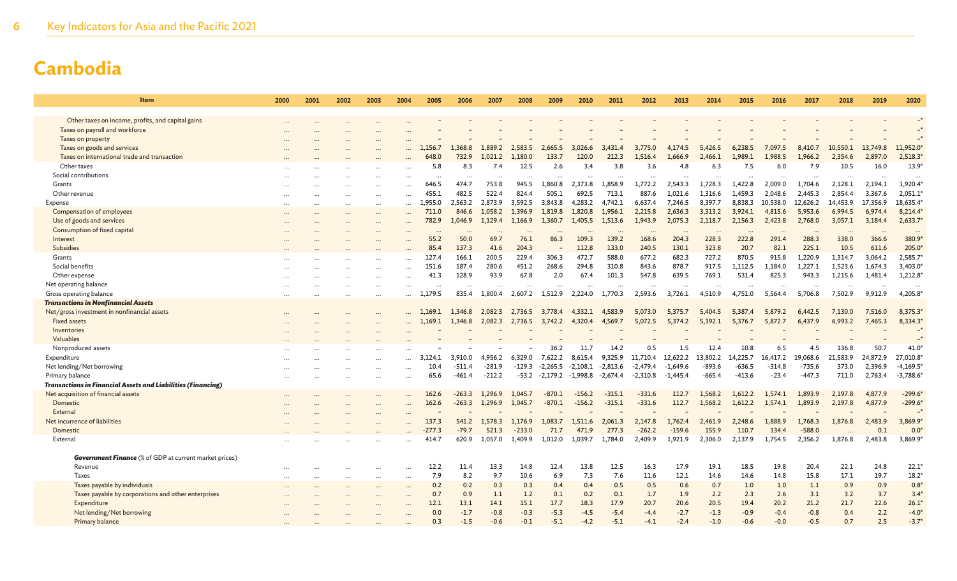| Item                                                                | 2000     | 2001 | 2002     | 2003     | 2004      | 2005       | 2006                | 2007                | 2008                | 2009                           | 2010     | 2011                     | 2012                   | 2013            | 2014                 | 2015                 | 2016                 | 2017                 | 2018              | 2019                | 2020                 |
|---------------------------------------------------------------------|----------|------|----------|----------|-----------|------------|---------------------|---------------------|---------------------|--------------------------------|----------|--------------------------|------------------------|-----------------|----------------------|----------------------|----------------------|----------------------|-------------------|---------------------|----------------------|
| Other taxes on income, profits, and capital gains                   |          |      |          |          |           |            |                     |                     |                     |                                |          |                          |                        |                 |                      |                      |                      |                      |                   |                     |                      |
| Taxes on payroll and workforce                                      |          |      |          |          |           |            |                     |                     |                     |                                |          |                          |                        |                 |                      |                      |                      |                      |                   |                     |                      |
| Taxes on property                                                   |          |      |          |          |           |            |                     |                     |                     |                                |          |                          |                        |                 |                      |                      |                      |                      |                   |                     |                      |
| Taxes on goods and services                                         |          |      |          |          |           | 1,156.7    | 1,368.8             | 1,889.2             | 2,583.5             | 2,665.5                        | 3,026.6  | 3.431.4                  | 3.775.0                | 4,174.5         | 5,426.5              | 6,238.5              | 7,097.5              | 8,410.7              | 10,550.1          | 13,749.8            | 11,952.0             |
| Taxes on international trade and transaction                        |          |      |          |          |           | 648.0      | 732.9               | 1,021.2             | 1.180.0             | 133.7                          | 120.0    | 212.3                    | 1.516.4                | 1.666.9         | 2,466.1              | 1.989.1              | 1.988.5              | 1,966.2              | 2.354.6           | 2.897.0             | 2,518.3'             |
| Other taxes                                                         |          |      |          |          |           | 5.8        | 8.3                 | 7.4                 | 12.5                | 2.6                            | 3.4      | 3.8                      | 3.6                    | 4.8             | 6.3                  | 7.5                  | 6.0                  | 7.9                  | 10.5              | 16.0                | 13.9'                |
| Social contributions                                                |          |      |          |          |           | $\cdots$   |                     | $\ddotsc$           |                     | $\ddotsc$                      | $\cdots$ | $\ddotsc$                | $\cdots$               | $\ddotsc$       |                      | $\ddotsc$            | $\ddotsc$            | $\ddotsc$            | $\cdots$          | $\ddotsc$           | $\cdot \cdot$        |
| Grants                                                              |          |      |          |          |           | 646.5      | 474.7               | 753.8               | 945.5               | 1,860.8                        | 2,373.8  | 1,858.9                  | 1,772.2                | 2,543.3         | 1,728.3              | 1,422.8              | 2,009.0              | 1,704.6              | 2,128.1           | 2,194.1             | 1,920.4              |
| Other revenue                                                       |          |      |          |          | $\cdots$  | 455.1      | 482.5               | 522.4               | 824.4               | 505.1                          | 692.5    | 713.1                    | 887.6                  | 1.021.6         | 1.316.6              | 1,459.3              | 2,048.6              | 2,445.3              | 2,854.4           | 3,367.6             | 2,051.1'             |
| Expense                                                             | $\cdots$ |      | $\cdots$ | $\cdots$ | $\ddotsc$ | .,955.0    | 2,563.2             | 2,873.9             | 3,592.5             | 3,843.8                        | 4,283.2  | 4,742.1                  | 6,637.4                | 7,246.5         | 8,397.7              | 8,838.3              | 10,538.0             | 12,626.2             | 14,453.9          | 17,356.9            | 18,635.4             |
| Compensation of employees                                           |          |      |          |          |           | 711.0      | 846.6               | 1.058.2             | 1.396.9             | 1,819.8                        | 1,820.8  | 1.956.1                  | 2,215.8                | 2,636.3         | 3,313.2              | 3,924.1              | 4,815.6              | 5.953.6              | 6,994.5           | 6,974.4             | 8,214.4              |
| Use of goods and services                                           |          |      |          |          |           | 782.9      | 1,046.9             | 1,129.4             | 1,166.9             | 1,360.7                        | 1,405.5  | 1,513.6                  | 1,943.9                | 2,075.3         | 2,118.7              | 2,156.3              | 2,423.8              | 2,768.0              | 3,057.1           | 3,184.4             | 2,633.7'             |
| Consumption of fixed capital                                        |          |      |          |          |           |            | $\ddotsc$           | $\ddotsc$           |                     |                                |          | $\ddotsc$                | $\ddotsc$              | $\ddotsc$       |                      |                      |                      | $\cdots$             | $\cdots$          | $\ddotsc$           |                      |
| Interest                                                            |          |      |          |          |           | 55.2       | 50.0                | 69.7                | 76.1                | 86.3                           | 109.3    | 139.2                    | 168.6                  | 204.3           | 228.3                | 222.8                | 291.4                | 288.3                | 338.0             | 366.6               | 380.9                |
| Subsidies                                                           |          |      |          |          |           | 85.4       | 137.3               | 41.6                | 204.3               |                                | 112.8    | 133.0                    | 240.5                  | 130.1           | 323.8                | 20.7                 | 82.1                 | 225.1                | 10.5              | 611.6               | 205.0                |
| Grants                                                              |          |      |          |          |           | 127.4      | 166.1               | 200.5               | 229.4               | 306.3                          | 472.7    | 588.0                    | 677.2                  | 682.3           | 727.2                | 870.5                | 915.8                | 1,220.9              | 1,314.7           | 3,064.2             | 2,585.7              |
| Social benefits                                                     |          |      |          |          |           | 151.6      | 187.4               | 280.6               | 451.2               | 268.6                          | 294.8    | 310.8                    | 843.6                  | 878.7           | 917.5                | 1,112.5              | 1,184.0              | 1,227.1              | 1,523.6           | 1,674.3             | 3,403.0              |
| Other expense                                                       |          |      |          |          |           | 41.3       | 128.9               | 93.9                | 67.8                | 2.0                            | 67.4     | 101.3                    | 547.8                  | 639.5           | 769.1                | 531.4                | 825.3                | 943.3                | 1,215.6           | 1,481.4             | $1,212.8*$           |
| Net operating balance                                               |          |      |          |          |           | $\cdots$   | $\ddotsc$           | $\ddotsc$           |                     | $\ddotsc$                      |          | $\overline{\phantom{a}}$ | $\ddotsc$              | $\cdot$         | $\cdots$             | $\ddot{\phantom{a}}$ | $\cdots$             | $\ddotsc$            | $\cdots$          | $\ddotsc$           | $\ddot{\phantom{a}}$ |
| Gross operating balance                                             | $\cdots$ |      |          |          |           | 1,179.5    | 835.4               | 1,800.4             | 2,607.2             | 1,512.9                        | 2,224.0  | 1,770.3                  | 2,593.6                | 3,726.1         | 4,510.9              | 4,751.0              | 5,564.4              | 5,706.8              | 7,502.9           | 9,912.9             | 4,205.8              |
| <b>Transactions in Nonfinancial Assets</b>                          |          |      |          |          |           |            |                     |                     |                     |                                |          |                          |                        |                 |                      |                      |                      |                      |                   |                     |                      |
| Net/gross investment in nonfinancial assets                         |          |      |          |          |           | 1.169.1    | 1,346.8             | 2,082.3             | 2,736.5             | 3,778.4                        | 4.332.1  | 4,583.9                  | 5.073.0                | 5,375.7         | 5,404.5              | 5.387.4              | 5,879.2              | 6,442.5              | 7,130.0           | 7,516.0             | 8,375.3              |
| <b>Fixed assets</b>                                                 |          |      |          |          |           | 1.169.1    | 1,346.8             | 2,082.3             | 2,736.5             | 3,742.2                        | 4,320.4  | 4,569.7                  | 5,072.5                | 5,374.2         | 5,392.1              | 5,376.7              | 5,872.7              | 6,437.9              | 6,993.2           | 7,465.3             | 8,334.3              |
| Inventories                                                         |          |      |          |          |           |            |                     |                     |                     |                                |          |                          |                        |                 |                      |                      |                      |                      |                   |                     |                      |
| Valuables                                                           |          |      |          |          |           |            |                     |                     |                     | 36.2                           |          |                          |                        |                 | 12.4                 | 10.8                 |                      |                      |                   | 50.7                |                      |
| Nonproduced assets                                                  |          |      |          |          |           | 124.1      |                     |                     |                     |                                | 11.7     | 14.2<br>9,325.9          | 0.5                    | 1.5<br>12,622.2 |                      | 14,225.7             | 6.5                  | 4.5                  | 136.8<br>21,583.9 |                     | 41.0<br>27,010.8     |
| Expenditure<br>Net lending/Net borrowing                            |          |      |          |          |           | 3.<br>10.4 | 3,910.0<br>$-511.4$ | 4,956.2<br>$-281.9$ | 6,329.0<br>$-129.3$ | 7,622.2<br>$-2.265.5 -2.108.1$ | 8,615.4  | $-2.813.6$               | 11,710.4<br>$-2,479.4$ | $-1.649.6$      | 13,802.2<br>$-893.6$ | $-636.5$             | 16,417.2<br>$-314.8$ | 19,068.6<br>$-735.6$ | 373.0             | 24,872.9<br>2,396.9 | $-4,169.5$           |
| Primary balance                                                     |          |      |          |          |           | 65.6       | $-461.4$            | $-212.2$            | $-53.2$             | -2,179.2 -1,998.8              |          | $-2,674.4$               | -2,310.8               | $-1,445.4$      | $-665.4$             | $-413.6$             | $-23.4$              | $-447.3$             | 711.0             | 2,763.4             | $-3,788.6$           |
| <b>Transactions in Financial Assets and Liabilities (Financing)</b> |          |      |          |          |           |            |                     |                     |                     |                                |          |                          |                        |                 |                      |                      |                      |                      |                   |                     |                      |
| Net acquisition of financial assets                                 |          |      |          |          |           | 162.6      | $-263.3$            | 1.296.9             | 1.045.7             | $-870.1$                       | $-156.2$ | $-315.1$                 | $-331.6$               | 112.7           | 1.568.2              | 1,612.2              | 1.574.1              | 1.893.9              | 2,197.8           | 4,877.9             | $-299.6$             |
| Domestic                                                            |          |      |          |          |           | 162.6      | $-263.3$            | 1,296.9             | 1,045.7             | $-870.1$                       | $-156.2$ | $-315.1$                 | $-331.6$               | 112.7           | 1,568.2              | 1,612.2              | 1,574.1              | 1.893.9              | 2,197.8           | 4,877.9             | $-299.6$             |
| External                                                            |          |      |          |          |           |            |                     |                     |                     |                                |          |                          |                        |                 |                      |                      |                      |                      |                   |                     |                      |
| Net incurrence of liabilities                                       |          |      |          |          |           | 137.3      | 541.2               | 1,578.3             | 1,176.9             | 1,083.7                        | 1,511.6  | 2,061.3                  | 2,147.8                | 1,762.4         | 2,461.9              | 2,248.6              | 1,888.9              | 1,768.3              | 1,876.8           | 2,483.9             | 3,869.9              |
| Domestic                                                            |          |      |          |          |           | $-277.3$   | $-79.7$             | 521.3               | $-233.0$            | 71.7                           | 471.9    | 277.3                    | $-262.2$               | $-159.6$        | 155.9                | 110.7                | 134.4                | $-588.0$             |                   | 0.1                 | 0.0                  |
| External                                                            |          |      |          |          |           | 414.7      | 620.9               | 1,057.0             | 1,409.9             | 1,012.0                        | 1,039.7  | 1,784.0                  | 2,409.9                | 1,921.9         | 2,306.0              | 2,137.9              | 1,754.5              | 2,356.2              | 1,876.8           | 2,483.8             | 3,869.9              |
|                                                                     |          |      |          |          |           |            |                     |                     |                     |                                |          |                          |                        |                 |                      |                      |                      |                      |                   |                     |                      |
| <b>Government Finance</b> (% of GDP at current market prices)       |          |      |          |          |           |            |                     |                     |                     |                                |          |                          |                        |                 |                      |                      |                      |                      |                   |                     |                      |
| Revenue                                                             | $\cdots$ |      |          |          |           | 12.2       | 11.4                | 13.3                | 14.8                | 12.4                           | 13.8     | 12.5                     | 16.3                   | 17.9            | 19.1                 | 18.5                 | 19.8                 | 20.4                 | 22.1              | 24.8                | 22.1'                |
| <b>Taxes</b>                                                        |          |      |          |          |           | 7.9        | 8.2                 | 9.7                 | 10.6                | 6.9                            | 7.3      | 7.6                      | 11.6                   | 12.1            | 14.6                 | 14.6                 | 14.8                 | 15.8                 | 17.1              | 19.7                | $18.2*$              |
| Taxes payable by individuals                                        |          |      |          |          |           | 0.2        | 0.2                 | 0.3                 | 0.3                 | 0.4                            | 0.4      | 0.5                      | 0.5                    | 0.6             | 0.7                  | 1.0                  | 1.0                  | 1.1                  | 0.9               | 0.9                 | $0.8*$               |
| Taxes payable by corporations and other enterprises                 |          |      |          |          | $\cdots$  | 0.7        | 0.9                 | 1.1                 | 1.2                 | 0.1                            | 0.2      | 0.1                      | 1.7                    | 1.9             | 2.2                  | 2.3                  | 2.6                  | 3.1                  | 3.2               | 3.7                 | $3.4*$               |
| Expenditure                                                         |          |      |          |          |           | 12.1       | 13.1                | 14.1                | 15.1                | 17.7                           | 18.3     | 17.9                     | 20.7                   | 20.6            | 20.5                 | 19.4                 | 20.2                 | 21.2                 | 21.7              | 22.6                | $26.1*$              |
| Net lending/Net borrowing                                           |          |      |          |          |           | 0.0        | $-1.7$              | $-0.8$              | $-0.3$              | $-5.3$                         | $-4.5$   | $-5.4$                   | $-4.4$                 | $-2.7$          | $-1.3$               | $-0.9$               | $-0.4$               | $-0.8$               | 0.4               | 2.2                 | $-4.0*$              |
| Primary balance                                                     |          |      |          |          |           | 0.3        | $-1.5$              | $-0.6$              | $-0.1$              | $-5.1$                         | $-4.2$   | $-5.1$                   | $-4.1$                 | $-2.4$          | $-1.0$               | $-0.6$               | $-0.0$               | $-0.5$               | 0.7               | 2.5                 | $-3.7*$              |
|                                                                     |          |      |          |          |           |            |                     |                     |                     |                                |          |                          |                        |                 |                      |                      |                      |                      |                   |                     |                      |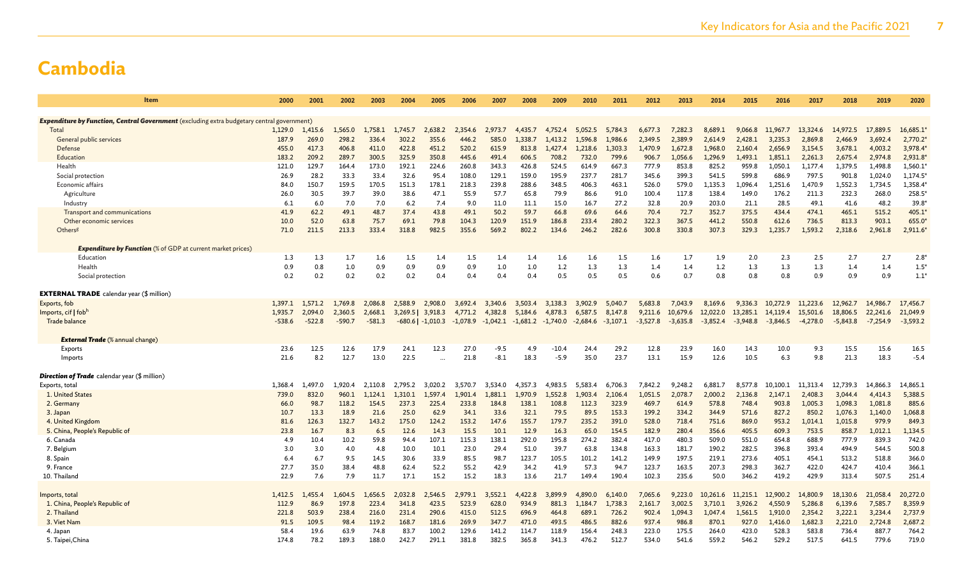| Item                                                                                              | 2000     | 2001     | 2002     | 2003     | 2004    | 2005                  | 2006       | 2007       | 2008       | 2009       | 2010       | 2011       | 2012       | 2013       | 2014       | 2015       | 2016       | 2017       | 2018       | 2019       | 2020          |
|---------------------------------------------------------------------------------------------------|----------|----------|----------|----------|---------|-----------------------|------------|------------|------------|------------|------------|------------|------------|------------|------------|------------|------------|------------|------------|------------|---------------|
|                                                                                                   |          |          |          |          |         |                       |            |            |            |            |            |            |            |            |            |            |            |            |            |            |               |
| <b>Expenditure by Function, Central Government</b> (excluding extra budgetary central government) |          |          |          |          |         |                       |            |            |            |            |            |            |            |            |            |            |            |            |            |            |               |
| Total                                                                                             | 1,129.0  | 1,415.6  | 1,565.0  | 1,758.1  | 1,745.7 | 2,638.2               | 2,354.6    | 2,973.7    | 4,435.7    | 4,752.4    | 5,052.5    | 5,784.3    | 6,677.3    | 7,282.3    | 8,689.1    | 9,066.8    | 11,967.7   | 13,324.6   | 14,972.5   | 17,889.5   | 16,685.1      |
| General public services                                                                           | 187.9    | 269.0    | 298.2    | 336.4    | 302.2   | 355.6                 | 446.2      | 585.0      | 1.338.7    | 1,413.2    | 1,596.8    | 1,986.6    | 2,349.5    | 2,389.9    | 2.614.9    | 2,428.1    | 3,235.3    | 2,869.8    | 2,466.9    | 3,692.4    | 2,770.2       |
| Defense                                                                                           | 455.0    | 417.3    | 406.8    | 411.0    | 422.8   | 451.2                 | 520.2      | 615.9      | 813.8      | 1,427.4    | 1.218.6    | 1,303.3    | 1.470.9    | 1,672.8    | 1,968.0    | 2,160.4    | 2,656.9    | 3,154.5    | 3,678.1    | 4,003.2    | 3,978.4       |
| Education                                                                                         | 183.2    | 209.2    | 289.7    | 300.5    | 325.9   | 350.8                 | 445.6      | 491.4      | 606.5      | 708.2      | 732.0      | 799.6      | 906.7      | 1,056.6    | 1,296.9    | 1,493.1    | 1,851.1    | 2,261.3    | 2,675.4    | 2,974.8    | 2,931.8       |
| Health                                                                                            | 121.0    | 129.7    | 164.4    | 173.0    | 192.1   | 224.6                 | 260.8      | 343.3      | 426.8      | 524.5      | 614.9      | 667.3      | 777.9      | 853.8      | 825.2      | 959.8      | 1,050.1    | 1,177.4    | 1,379.5    | 1,498.8    | 1,560.1       |
| Social protection                                                                                 | 26.9     | 28.2     | 33.3     | 33.4     | 32.6    | 95.4                  | 108.0      | 129.1      | 159.0      | 195.9      | 237.7      | 281.7      | 345.6      | 399.3      | 541.5      | 599.8      | 686.9      | 797.5      | 901.8      | 1,024.0    | 1,174.5       |
| Economic affairs                                                                                  | 84.0     | 150.7    | 159.5    | 170.5    | 151.3   | 178.1                 | 218.3      | 239.8      | 288.6      | 348.5      | 406.3      | 463.1      | 526.0      | 579.0      | 1,135.3    | 1,096.4    | 1,251.6    | 1,470.9    | 1,552.3    | 1,734.5    | 1,358.4       |
| Agriculture                                                                                       | 26.0     | 30.5     | 39.7     | 39.0     | 38.6    | 47.1                  | 55.9       | 57.7       | 65.8       | 79.9       | 86.6       | 91.0       | 100.4      | 117.8      | 138.4      | 149.0      | 176.2      | 211.3      | 232.3      | 268.0      | 258.5         |
| Industry                                                                                          | 6.1      | 6.0      | 7.0      | 7.0      | 6.2     | 7.4                   | 9.0        | 11.0       | 11.1       | 15.0       | 16.7       | 27.2       | 32.8       | 20.9       | 203.0      | 21.1       | 28.5       | 49.1       | 41.6       | 48.2       | 39.8          |
| Transport and communications                                                                      | 41.9     | 62.2     | 49.1     | 48.7     | 37.4    | 43.8                  | 49.1       | 50.2       | 59.7       | 66.8       | 69.6       | 64.6       | 70.4       | 72.7       | 352.7      | 375.5      | 434.4      | 474.1      | 465.1      | 515.2      | 405.1*        |
| Other economic services                                                                           | 10.0     | 52.0     | 63.8     | 75.7     | 69.1    | 79.8                  | 104.3      | 120.9      | 151.9      | 186.8      | 233.4      | 280.2      | 322.3      | 367.5      | 441.2      | 550.8      | 612.6      | 736.5      | 813.3      | 903.1      | 655.0         |
| Others <sup>g</sup>                                                                               | 71.0     | 211.5    | 213.3    | 333.4    | 318.8   | 982.5                 | 355.6      | 569.2      | 802.2      | 134.6      | 246.2      | 282.6      | 300.8      | 330.8      | 307.3      | 329.3      | 1,235.7    | 1,593.2    | 2,318.6    | 2,961.8    | 2,911.6       |
|                                                                                                   |          |          |          |          |         |                       |            |            |            |            |            |            |            |            |            |            |            |            |            |            |               |
| <b>Expenditure by Function</b> (% of GDP at current market prices)                                |          |          |          |          |         |                       |            |            |            |            |            |            |            |            |            |            |            |            |            |            |               |
| Education                                                                                         | 1.3      | 1.3      | 1.7      | 1.6      | 1.5     | 1.4                   | 1.5        | 1.4        | 1.4        | 1.6        | 1.6        | 1.5        | 1.6        | 1.7        | 1.9        | 2.0        | 2.3        | 2.5        | 2.7        | 2.7        | $2.8^{\circ}$ |
| Health                                                                                            | 0.9      | 0.8      | 1.0      | 0.9      | 0.9     | 0.9                   | 0.9        | 1.0        | 1.0        | 1.2        | 1.3        | 1.3        | 1.4        | 1.4        | 1.2        | 1.3        | 1.3        | 1.3        | 1.4        | 1.4        | 1.5'          |
| Social protection                                                                                 | 0.2      | 0.2      | 0.2      | 0.2      | 0.2     | 0.4                   | 0.4        | 0.4        | 0.4        | 0.5        | 0.5        | 0.5        | 0.6        | 0.7        | 0.8        | 0.8        | 0.8        | 0.9        | 0.9        | 0.9        | $1.1*$        |
|                                                                                                   |          |          |          |          |         |                       |            |            |            |            |            |            |            |            |            |            |            |            |            |            |               |
| <b>EXTERNAL TRADE</b> calendar year (\$ million)                                                  |          |          |          |          |         |                       |            |            |            |            |            |            |            |            |            |            |            |            |            |            |               |
| Exports, fob                                                                                      | 1,397.1  | 1.571.2  | 1.769.8  | 2,086.8  | 2.588.9 | 2,908.0               | 3,692.4    | 3,340.6    | 3,503.4    | 3,138.3    | 3,902.9    | 5,040.7    | 5,683.8    | 7.043.9    | 8.169.6    | 9,336.3    | 10,272.9   | 11,223.6   | 12,962.7   | 14,986.7   | 17,456.7      |
| Imports, cif $\int$ fob <sup>k</sup>                                                              | 1,935.7  | 2.094.0  | 2,360.5  | 2,668.1  |         | 3,269.5 3,918.3       | 4,771.2    | 4,382.8    | 5,184.6    | 4,878.3    | 6,587.5    | 8,147.8    | 9,211.6    | 10,679.6   | 12,022.0   | 13,285.1   | 14,119.4   | 15,501.6   | 18,806.5   | 22,241.6   | 21,049.9      |
| Trade balance                                                                                     | $-538.6$ | $-522.8$ | $-590.7$ | $-581.3$ |         | $-680.6$   $-1,010.3$ | $-1,078.9$ | $-1,042.1$ | $-1,681.2$ | $-1,740.0$ | $-2,684.6$ | $-3,107.1$ | $-3,527.8$ | $-3,635.8$ | $-3,852.4$ | $-3,948.8$ | $-3,846.5$ | $-4,278.0$ | $-5,843.8$ | $-7,254.9$ | $-3,593.2$    |
|                                                                                                   |          |          |          |          |         |                       |            |            |            |            |            |            |            |            |            |            |            |            |            |            |               |
| <b>External Trade</b> (% annual change)                                                           |          |          |          |          |         |                       |            |            |            |            |            |            |            |            |            |            |            |            |            |            |               |
| Exports                                                                                           | 23.6     | 12.5     | 12.6     | 17.9     | 24.1    | 12.3                  | 27.0       | $-9.5$     | 4.9        | $-10.4$    | 24.4       | 29.2       | 12.8       | 23.9       | 16.0       | 14.3       | 10.0       | 9.3        | 15.5       | 15.6       | 16.5          |
| Imports                                                                                           | 21.6     | 8.2      | 12.7     | 13.0     | 22.5    | $\sim$                | 21.8       | $-8.1$     | 18.3       | $-5.9$     | 35.0       | 23.7       | 13.1       | 15.9       | 12.6       | 10.5       | 6.3        | 9.8        | 21.3       | 18.3       | $-5.4$        |
|                                                                                                   |          |          |          |          |         |                       |            |            |            |            |            |            |            |            |            |            |            |            |            |            |               |
| <b>Direction of Trade</b> calendar year (\$ million)                                              |          |          |          |          |         |                       |            |            |            |            |            |            |            |            |            |            |            |            |            |            |               |
| Exports, total                                                                                    | 1.368.4  | 1.497.0  | 1.920.4  | 2.110.8  | 2.795.2 | 3.020.2               | 3.570.7    | 3.534.0    | 4.357.3    | 4.983.5    | 5.583.4    | 6.706.3    | 7.842.2    | 9.248.2    | 6.881.7    | 8,577.8    | 10.100.1   | 11.313.4   | 12.739.3   | 14,866.3   | 14,865.1      |
| 1. United States                                                                                  | 739.0    | 832.0    | 960.1    | 1.124.1  | 1,310.1 | 1,597.4               | 1,901.4    | 1,881.1    | 1.970.9    | 1,552.8    | 1,903.4    | 2,106.4    | 1,051.5    | 2,078.7    | 2,000.2    | 2,136.8    | 2,147.1    | 2,408.3    | 3,044.4    | 4,414.3    | 5,388.5       |
| 2. Germany                                                                                        | 66.0     | 98.7     | 118.2    | 154.5    | 237.3   | 225.4                 | 233.8      | 184.8      | 138.1      | 108.8      | 112.3      | 323.9      | 469.7      | 614.9      | 578.8      | 748.4      | 903.8      | 1,005.3    | 1,098.3    | 1,081.8    | 885.6         |
| 3. Japan                                                                                          | 10.7     | 13.3     | 18.9     | 21.6     | 25.0    | 62.9                  | 34.1       | 33.6       | 32.1       | 79.5       | 89.5       | 153.3      | 199.2      | 334.2      | 344.9      | 571.6      | 827.2      | 850.2      | 1.076.3    | 1,140.0    | 1,068.8       |
| 4. United Kingdom                                                                                 | 81.6     | 126.3    | 132.7    | 143.2    | 175.0   | 124.2                 | 153.2      | 147.6      | 155.7      | 179.7      | 235.2      | 391.0      | 528.0      | 718.4      | 751.6      | 869.0      | 953.2      | 1,014.1    | 1,015.8    | 979.9      | 849.3         |
| 5. China, People's Republic of                                                                    | 23.8     | 16.7     | 8.3      | 6.5      | 12.6    | 14.3                  | 15.5       | 10.1       | 12.9       | 16.3       | 65.0       | 154.5      | 182.9      | 280.4      | 356.6      | 405.5      | 609.3      | 753.5      | 858.7      | 1.012.1    | 1,134.5       |
| 6. Canada                                                                                         | 4.9      | 10.4     | 10.2     | 59.8     | 94.4    | 107.1                 | 115.3      | 138.1      | 292.0      | 195.8      | 274.2      | 382.4      | 417.0      | 480.3      | 509.0      | 551.0      | 654.8      | 688.9      | 777.9      | 839.3      | 742.0         |
| 7. Belgium                                                                                        | 3.0      | 3.0      | 4.0      | 4.8      | 10.0    | 10.1                  | 23.0       | 29.4       | 51.0       | 39.7       | 63.8       | 134.8      | 163.3      | 181.7      | 190.2      | 282.5      | 396.8      | 393.4      | 494.9      | 544.5      | 500.8         |
| 8. Spain                                                                                          | 6.4      | 6.7      | 9.5      | 14.5     | 30.6    | 33.9                  | 85.5       | 98.7       | 123.7      | 105.5      | 101.2      | 141.2      | 149.9      | 197.5      | 219.1      | 273.6      | 405.1      | 454.1      | 513.2      | 518.8      | 366.0         |
| 9. France                                                                                         | 27.7     | 35.0     | 38.4     | 48.8     | 62.4    | 52.2                  | 55.2       | 42.9       | 34.2       | 41.9       | 57.3       | 94.7       | 123.7      | 163.5      | 207.3      | 298.3      | 362.7      | 422.0      | 424.7      | 410.4      | 366.1         |
| 10. Thailand                                                                                      | 22.9     | 7.6      | 7.9      | 11.7     | 17.1    | 15.2                  | 15.2       | 18.3       | 13.6       | 21.7       | 149.4      | 190.4      | 102.3      | 235.6      | 50.0       | 346.2      | 419.2      | 429.9      | 313.4      | 507.5      | 251.4         |
|                                                                                                   |          |          |          |          |         |                       |            |            |            |            |            |            |            |            |            |            |            |            |            |            |               |
| Imports, total                                                                                    | 1,412.5  | .455.4   | 1.604.5  | .656.5   | 2.032.8 | .546.5                | 2.979.1    | 3.552.1    | .422.8     | 3.899.9    | 4,890.0    | 6.140.0    | 7.065.6    | 9.223.0    | 10.261.6   | 11.215.1   | 12,900.2   | 14,800.9   | 18,130.6   | 21.058.4   | 20,272.0      |
| 1. China, People's Republic of                                                                    | 112.9    | 86.9     | 197.8    | 223.4    | 341.8   | 423.5                 | 523.9      | 628.0      | 934.9      | 881.3      | 1.184.7    | 1,738.3    | 2,161.7    | 3,002.5    | 3,710.1    | 3,926.2    | 4,550.9    | 5,286.8    | 6,139.6    | 7,585.7    | 8,359.9       |
| 2. Thailand                                                                                       | 221.8    | 503.9    | 238.4    | 216.0    | 231.4   | 290.6                 | 415.0      | 512.5      | 696.9      | 464.8      | 689.1      | 726.2      | 902.4      | 1,094.3    | 1,047.4    | 1,561.5    | 1,910.0    | 2,354.2    | 3,222.1    | 3,234.4    | 2,737.9       |
| 3. Viet Nam                                                                                       | 91.5     | 109.5    | 98.4     | 119.2    | 168.7   | 181.6                 | 269.9      | 347.7      | 471.0      | 493.5      | 486.5      | 882.6      | 937.4      | 986.8      | 870.1      | 927.0      | 1,416.0    | 1,682.3    | 2.221.0    | 2.724.8    | 2,687.2       |
| 4. Japan                                                                                          | 58.4     | 19.6     | 63.9     | 74.8     | 83.7    | 100.2                 | 129.6      | 141.2      | 114.7      | 118.9      | 156.4      | 248.3      | 223.0      | 175.5      | 264.0      | 423.0      | 528.3      | 583.8      | 736.4      | 887.7      | 764.2         |
| 5. Taipei, China                                                                                  | 174.8    | 78.2     | 189.3    | 188.0    | 242.7   | 291.1                 | 381.8      | 382.5      | 365.8      | 341.3      | 476.2      | 512.7      | 534.0      | 541.6      | 559.2      | 546.2      | 529.2      | 517.5      | 641.5      | 779.6      | 719.0         |
|                                                                                                   |          |          |          |          |         |                       |            |            |            |            |            |            |            |            |            |            |            |            |            |            |               |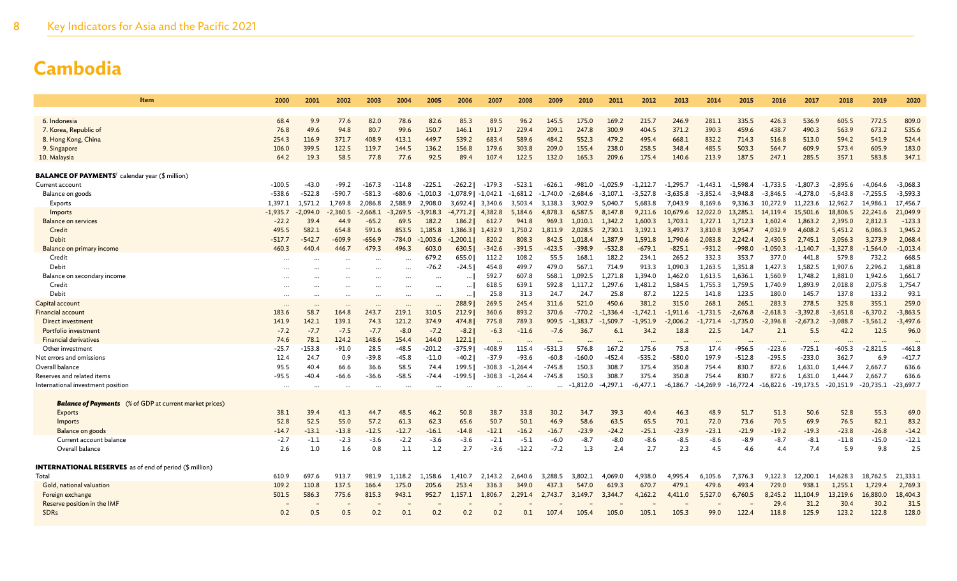| Item                                                               | 2000               | 2001             | 2002              | 2003               | 2004              | 2005          | 2006           | 2007                  | 2008           | 2009                 | 2010              | 2011           | 2012                | 2013                | 2014                | 2015                | 2016           | 2017                | 2018                | 2019                | 2020                |
|--------------------------------------------------------------------|--------------------|------------------|-------------------|--------------------|-------------------|---------------|----------------|-----------------------|----------------|----------------------|-------------------|----------------|---------------------|---------------------|---------------------|---------------------|----------------|---------------------|---------------------|---------------------|---------------------|
|                                                                    |                    |                  |                   |                    |                   |               |                |                       |                |                      |                   |                |                     |                     |                     |                     |                |                     |                     |                     |                     |
| 6. Indonesia<br>7. Korea, Republic of                              | 68.4<br>76.8       | 9.9<br>49.6      | 77.6<br>94.8      | 82.0<br>80.7       | 78.6<br>99.6      | 82.6<br>150.7 | 85.3<br>146.1  | 89.5<br>191.7         | 96.2<br>229.4  | 145.5<br>209.1       | 175.0<br>247.8    | 169.2<br>300.9 | 215.7<br>404.5      | 246.9<br>371.2      | 281.1<br>390.3      | 335.5<br>459.6      | 426.3<br>438.7 | 536.9<br>490.3      | 605.5<br>563.9      | 772.5<br>673.2      | 809.0<br>535.6      |
| 8. Hong Kong, China                                                | 254.3              | 116.9            | 371.7             | 408.9              | 413.1             | 449.7         | 539.2          | 683.4                 | 589.6          | 484.2                | 552.3             | 479.2          | 495.4               | 668.1               | 832.2               | 714.3               | 516.8          | 513.0               | 594.2               | 541.9               | 524.4               |
| 9. Singapore                                                       | 106.0              | 399.5            | 122.5             | 119.7              | 144.5             | 136.2         | 156.8          | 179.6                 | 303.8          | 209.0                | 155.4             | 238.0          | 258.5               | 348.4               | 485.5               | 503.3               | 564.7          | 609.9               | 573.4               | 605.9               | 183.0               |
| 10. Malaysia                                                       | 64.2               | 19.3             | 58.5              | 77.8               | 77.6              | 92.5          | 89.4           | 107.4                 | 122.5          | 132.0                | 165.3             | 209.6          | 175.4               | 140.6               | 213.9               | 187.5               | 247.1          | 285.5               | 357.1               | 583.8               | 347.1               |
|                                                                    |                    |                  |                   |                    |                   |               |                |                       |                |                      |                   |                |                     |                     |                     |                     |                |                     |                     |                     |                     |
| <b>BALANCE OF PAYMENTS</b> <sup>i</sup> calendar year (\$ million) |                    |                  |                   |                    |                   |               |                |                       |                |                      |                   |                |                     |                     |                     |                     |                |                     |                     |                     |                     |
| Current account                                                    | $-100.5$           | $-43.0$          | $-99.2$           | $-167.3$           | $-114.8$          | $-225.1$      | $-262.21$      | $-179.3$              | $-523.1$       | $-626.1$             | $-981.0$          | $-1.025.9$     | $-1.212.7$          | $-1.295.7$          | $-1.443.1$          | $-1.598.4$          | $-1.733.5$     | $-1.807.3$          | $-2.895.6$          | $-4.064.6$          | $-3,068.3$          |
| Balance on goods                                                   | $-538.6$           | $-522.8$         | $-590.7$          | $-581.3$           | $-680.6$          | $-1.010.3$    | $-1,078.9$     | -1,042.1              | $-1,681.2$     | -1,740.0             | $-2.684.6$        | $-3,107.1$     | $-3,527.8$          | $-3,635.8$          | $-3,852.4$          | $-3.948.8$          | $-3,846.5$     | $-4,278.0$          | $-5,843.8$          | $-7,255.5$          | $-3,593.3$          |
| Exports                                                            | 1,397.1            | 1,571.2          | 1,769.8           | 2,086.8            | 2,588.9           | 2,908.0       | 3,692.4        | 3,340.6               | 3,503.4        | 3,138.3              | 3.902.9           | 5,040.7        | 5,683.8             | 7,043.9             | 8,169.6             | 9.336.3             | 10,272.9       | 11.223.6            | 12.962.7            | 14,986.1            | 17,456.7            |
| Imports                                                            | $-1,935.7$         | $-2.094.0$       | $-2,360.5$        | $-2,668.1$         | $-3.269.5$        | $-3,918.3$    | $-4,771.2$     | 4,382.8               | 5,184.6        | 4,878.3              | 6,587.5           | 8,147.8        | 9,211.6             | 10,679.6            | 12,022.0            | 13,285.1            | 14,119.4       | 15,501.6            | 18,806.5            | 22,241.6            | 21,049.9            |
| <b>Balance on services</b>                                         | $-22.2$            | 39.4             | 44.9              | $-65.2$            | 69.5              | 182.2         | 186.2          | 612.7                 | 941.8          | 969.3                | 1,010.1           | 1,342.2        | 1,600.3             | 1,703.1             | 1,727.1             | 1,712.3             | 1,602.4        | 1,863.2             | 2,395.0             | 2,812.3             | $-123.3$            |
| Credit                                                             | 495.5              | 582.1            | 654.8             | 591.6              | 853.5             | 1.185.8       | 1,386.3        | 1,432.9               | 1,750.2        | 1.811.9              | 2,028.5           | 2,730.1        | 3,192.1             | 3,493.7             | 3,810.8             | 3,954.7             | 4,032.9        | 4,608.2             | 5,451.2             | 6,086.3             | 1,945.2             |
| <b>Debit</b>                                                       | $-517.7$           | $-542.7$         | -609.9            | $-656.9$           | $-784.0$          | $-1.003.6$    | $-1,200.1$     | 820.2                 | 808.3          | 842.5                | 1,018.4           | 1,387.9        | 1,591.8             | 1,790.6             | 2,083.8             | 2,242.4             | 2,430.5        | 2,745.1             | 3,056.3             | 3,273.9             | 2,068.4             |
| Balance on primary income                                          | 460.3              | 440.4            | 446.7             | 479.3              | 496.3             | 603.0         | 630.5          | $-342.6$              | $-391.5$       | $-423.5$             | $-398.9$          | $-532.8$       | $-679.1$            | $-825.1$            | $-931.2$            | $-998.0$            | $-1.050.3$     | $-1.140.7$          | $-1.327.8$          | $-1.564.0$          | $-1,013.4$          |
| Credit                                                             | $\ddotsc$          |                  |                   |                    |                   | 679.2         | 655.0          | 112.2                 | 108.2          | 55.5                 | 168.1             | 182.2          | 234.1               | 265.2               | 332.3               | 353.7               | 377.0          | 441.8               | 579.8               | 732.2               | 668.5               |
| Debit                                                              |                    |                  |                   |                    | $\ddotsc$         | $-76.2$       | -24.51         | 454.8                 | 499.7          | 479.0                | 567.1             | 714.9          | 913.3               | 1,090.3             | 1,263.5             | 1,351.8             | 1,427.3        | 1,582.5             | 1,907.6             | 2,296.2             | 1,681.8             |
| Balance on secondary income                                        | $\ddotsc$          |                  |                   | $\ddotsc$          |                   |               | $\cdots$       | 592.7                 | 607.8          | 568.1                | .092.5            | 1.271.8        | 1,394.0             | 1,462.0             | 1,613.5             | 1,636.1             | 1,560.9        | 1,748.2             | 1,881.0             | 1,942.6             | 1,661.7             |
| Credit                                                             | $\cdots$           |                  | $\cdots$          | $\ddotsc$          | $\cdots$          |               | $\cdots$       | 618.5                 | 639.1          | 592.8                | 1,117.2           | 1,297.6        | 1,481.2             | 1,584.5             | 1,755.3             | 1,759.5             | 1,740.9        | 1,893.9             | 2,018.8             | 2,075.8             | 1,754.7             |
| Debit                                                              |                    |                  |                   |                    |                   |               | $\cdots$       | 25.8                  | 31.3           | 24.7                 | 24.7              | 25.8<br>450.6  | 87.2                | 122.5               | 141.8               | 123.5               | 180.0<br>283.3 | 145.7               | 137.8               | 133.2               | 93.1                |
| Capital account<br><b>Financial account</b>                        | $\ddotsc$<br>183.6 | $\cdots$<br>58.7 | $\cdots$<br>164.8 | $\ddotsc$<br>243.7 | $\cdots$<br>219.1 | <br>310.5     | 288.9<br>212.9 | 269.5<br>360.6        | 245.4<br>893.2 | 311.6<br>370.6       | 521.0<br>$-770.2$ | $-1.336.4$     | 381.2<br>$-1,742.1$ | 315.0<br>$-1,911.6$ | 268.1<br>$-1,731.5$ | 265.1<br>$-2,676.8$ | $-2.618.3$     | 278.5<br>$-3,392.8$ | 325.8<br>$-3,651.8$ | 355.1<br>$-6,370.2$ | 259.0<br>$-3,863.5$ |
| Direct investment                                                  | 141.9              | 142.1            | 139.1             | 74.3               | 121.2             | 374.9         | 474.8          | 775.8                 | 789.3          | 909.5                | .383.7            | $-1.509.7$     | $-1,951.9$          | $-2,006.2$          | $-1.771.4$          | $-1,735.0$          | $-2,396.8$     | $-2.673.2$          | $-3.088.7$          | $-3,561.2$          | $-3,497.6$          |
| Portfolio investment                                               | $-7.2$             | $-7.7$           | $-7.5$            | $-7.7$             | $-8.0$            | $-7.2$        | $-8.2$         | $-6.3$                | $-11.6$        | $-7.6$               | 36.7              | 6.1            | 34.2                | 18.8                | 22.5                | 14.7                | 2.1            | 5.5                 | 42.2                | 12.5                | 96.0                |
| <b>Financial derivatives</b>                                       | 74.6               | 78.1             | 124.2             | 148.6              | 154.4             | 144.0         | 122.1          |                       |                |                      |                   |                |                     |                     |                     |                     |                |                     |                     |                     |                     |
| Other investment                                                   | $-25.7$            | 153.8            | $-91.0$           | 28.5               | $-48.5$           | -201.2        | $-375.9$       | $\ddotsc$<br>$-408.9$ | 115.4          | $-531.3$             | 576.8             | 167.           | 175.6               | 75.8                | 17.4                | $-956.5$            | $-223.6$       | $-725.1$            | $-605.3$            | $-2,821.5$          | $-461.8$            |
| Net errors and omissions                                           | 12.4               | 24.7             | 0.9               | $-39.8$            | $-45.8$           | $-11.0$       | $-40.2$        | $-37.9$               | $-93.6$        | $-60.8$              | $-160.0$          | -452.4         | $-535.2$            | $-580.0$            | 197.9               | $-512.8$            | $-295.5$       | $-233.0$            | 362.7               | 6.9                 | $-417.7$            |
| Overall balance                                                    | 95.5               | 40.4             | 66.6              | 36.6               | 58.5              | 74.4          | 199.5          | $-308.3$              | $-1,264.4$     | $-745.8$             | 150.3             | 308.7          | 375.4               | 350.8               | 754.4               | 830.7               | 872.6          | 1,631.0             | 1,444.7             | 2,667.7             | 636.6               |
| Reserves and related items                                         | -95.5              | -40.4            | -66.6             | $-36.6$            | $-58.5$           | $-74.4$       | -199.51        | -308.3                | $-1,264.4$     | $-745.8$             | 150.3             | 308.7          | 375.4               | 350.8               | 754.4               | 830.7               | 872.6          | 1,631.0             | 1,444.7             | 2,667.7             | 636.6               |
| International investment position                                  | $\cdots$           | $\cdot$          | $\cdots$          | $\ddotsc$          | $\cdots$          | $\ddotsc$     | $\ddotsc$      |                       |                | $\ddot{\phantom{a}}$ | $-1,812.0$        | -4,297.1       | -6.477.1            | $-6.186.7$          | -14,269.9           | $-16.772.4$         | $-16,822.6$    | $-19,173.5$         | $-20,151.9$         | $-20,735.1$         | $-23,697.7$         |
|                                                                    |                    |                  |                   |                    |                   |               |                |                       |                |                      |                   |                |                     |                     |                     |                     |                |                     |                     |                     |                     |
| <b>Balance of Payments</b> (% of GDP at current market prices)     |                    |                  |                   |                    |                   |               |                |                       |                |                      |                   |                |                     |                     |                     |                     |                |                     |                     |                     |                     |
| Exports                                                            | 38.1               | 39.4             | 41.3              | 44.7               | 48.5              | 46.2          | 50.8           | 38.7                  | 33.8           | 30.2                 | 34.7              | 39.3           | 40.4                | 46.3                | 48.9                | 51.7                | 51.3           | 50.6                | 52.8                | 55.3                | 69.0                |
| Imports                                                            | 52.8               | 52.5             | 55.0              | 57.2               | 61.3              | 62.3          | 65.6           | 50.7                  | 50.1           | 46.9                 | 58.6              | 63.5           | 65.5                | 70.1                | 72.0                | 73.6                | 70.5           | 69.9                | 76.5                | 82.1                | 83.2                |
| Balance on goods                                                   | $-14.7$            | $-13.1$          | $-13.8$           | $-12.5$            | $-12.7$           | -16.1         | $-14.8$        | $-12.1$               | $-16.2$        | $-16.7$              | $-23.9$           | $-24.2$        | $-25.1$             | $-23.9$             | $-23.1$             | $-21.9$             | $-19.2$        | $-19.3$             | $-23.8$             | $-26.8$             | $-14.2$             |
| Current account balance                                            | $-2.7$             | $-1.1$           | $-2.3$            | $-3.6$             | $-2.2$            | $-3.6$        | $-3.6$         | $-2.1$                | $-5.1$         | -6.0                 | $-8.7$            | $-8.0$         | $-8.6$              | -8.5                | -8.6                | -8.9                | $-8.7$         | $-8.1$              | $-11.8$             | $-15.0$             | $-12.1$             |
| Overall balance                                                    | 2.6                | 1.0              | 1.6               | 0.8                | 1.1               | 1.2           | 2.7            | $-3.6$                | $-12.2$        | $-7.2$               | 1.3               | 2.4            | 2.7                 | 2.3                 | 4.5                 | 4.6                 | -4.4           | 7.4                 | 5.9                 | 9.8                 | 2.5                 |
| <b>INTERNATIONAL RESERVES</b> as of end of period (\$ million)     |                    |                  |                   |                    |                   |               |                |                       |                |                      |                   |                |                     |                     |                     |                     |                |                     |                     |                     |                     |
| Total                                                              | 610.9              | 697.6            | 913.7             | 981.9              | 1.118.2           | 1.158.6       | 1,410.7        | 2,143.2               | 2.640.6        | 3,288.5              | 3.802.1           | 4.069.0        | 4,938.0             | 4,995.4             | 6,105.6             | 7,376.3             | 9.122.3        | 12,200.1            | 14,628.3            | 18,762.5            | 21,333.             |
| Gold, national valuation                                           | 109.2              | 110.8            | 137.5             | 166.4              | 175.0             | 205.6         | 253.4          | 336.3                 | 349.0          | 437.3                | 547.0             | 619.3          | 670.7               | 479.                | 479.6               | 493.4               | 729.0          | 938.1               | 1.255.1             | 1,729.4             | 2,769.3             |
| Foreign exchange                                                   | 501.5              | 586.3            | 775.6             | 815.3              | 943.1             | 952.7         | 1,157.1        | 1,806.7               | 2,291.4        | 2,743.7              | 3,149.7           | 3,344.7        | 4,162.2             | 4,411.0             | 5,527.0             | 6,760.5             | 8,245.2        | 11,104.9            | 13,219.6            | 16,880.0            | 18,404.3            |
| Reserve position in the IMF                                        |                    |                  |                   |                    |                   |               |                |                       |                |                      |                   |                |                     |                     |                     |                     | 29.4           | 31.2                | 30.4                | 30.2                | 31.5                |
| <b>SDRs</b>                                                        | 0.2                | 0.5              | 0.5               | 0.2                | 0.1               | 0.2           | 0.2            | 0.2                   | 0.1            | 107.4                | 105.4             | 105.0          | 105.1               | 105.3               | 99.0                | 122.4               | 118.8          | 125.9               | 123.2               | 122.8               | 128.0               |
|                                                                    |                    |                  |                   |                    |                   |               |                |                       |                |                      |                   |                |                     |                     |                     |                     |                |                     |                     |                     |                     |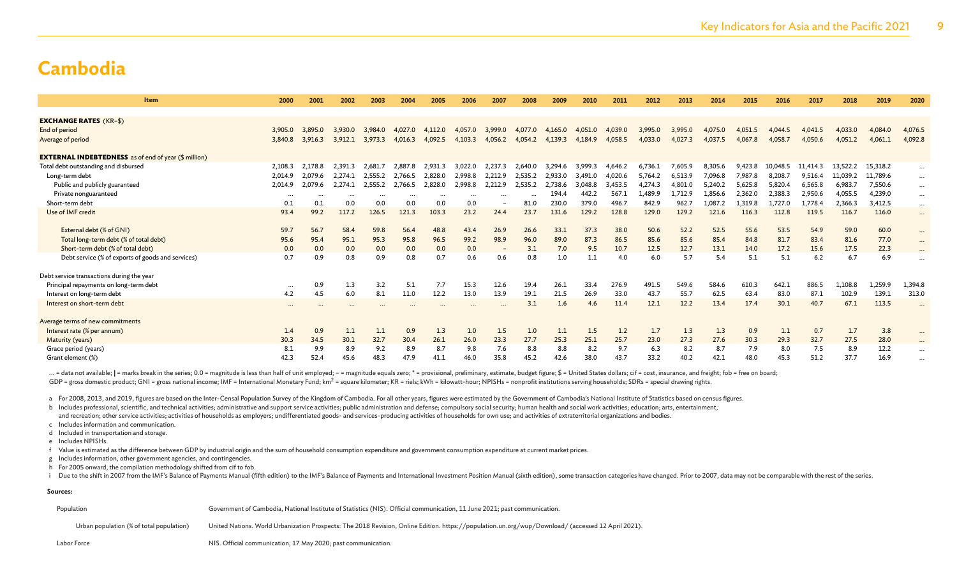| <b>Item</b>                                                 | 2000     | 2001     | 2002     | 2003     | 2004     | 2005     | 2006     | 2007              | 2008    | 2009    | 2010    | 2011    | 2012    | 2013    | 2014    | 2015    | 2016     | 2017     | 2018     | 2019     | 2020                     |
|-------------------------------------------------------------|----------|----------|----------|----------|----------|----------|----------|-------------------|---------|---------|---------|---------|---------|---------|---------|---------|----------|----------|----------|----------|--------------------------|
|                                                             |          |          |          |          |          |          |          |                   |         |         |         |         |         |         |         |         |          |          |          |          |                          |
| <b>EXCHANGE RATES (KR-\$)</b>                               |          |          |          |          |          |          |          |                   |         |         |         |         |         |         |         |         |          |          |          |          |                          |
| End of period                                               | 3,905.0  | 3.895.0  | 3.930.0  | 3.984.0  | 4.027.0  | 4.112.0  | 4,057.0  | 3,999.0           | 4,077.0 | 4,165.0 | 4,051.0 | 4,039.0 | 3,995.0 | 3,995.0 | 4.075.0 | 4,051.5 | 4.044.5  | 4.041.5  | 4,033.0  | 4,084.0  | 4,076.5                  |
| Average of period                                           | 3,840.8  | 3,916.3  | 3.912.1  | 3,973.3  | 4.016.3  |          | 4.103.3  | 4,056.2           | 4,054.2 | 4,139.3 | 4.184.9 | 4,058.5 | 4,033.0 | 4,027.3 | 4.037.5 | 4,067.8 | 4.058.7  | 4,050.6  | 4,051.2  | 4,061.1  | 4,092.8                  |
| <b>EXTERNAL INDEBTEDNESS</b> as of end of year (\$ million) |          |          |          |          |          |          |          |                   |         |         |         |         |         |         |         |         |          |          |          |          |                          |
| Total debt outstanding and disbursed                        | 2,108.3  | 2,178.8  | 2,391.3  | 2.681.7  | 2.887.8  | 2.931.3  | 3,022.0  | 2,237.3           | 2,640.0 | 3,294.6 | 3.999.3 | 4,646.2 | 6,736.1 | 7,605.9 | 8,305.6 | 9,423.8 | 10,048.5 | 11.414.3 | 13,522.2 | 15,318.2 |                          |
| Long-term debt                                              | 2,014.9  | 2.079.6  | 2.274.1  | 2,555.2  | 2,766.5  | 2,828.0  | 2.998.8  | 2,212.9           | 2,535.2 | 2,933.0 | 3,491.0 | 4.020.6 | 5,764.2 | 6,513.9 | 7,096.8 | 7,987.8 | 8,208.7  | 9,516.4  | 11,039.2 | 11,789.6 | $\cdots$                 |
| Public and publicly guaranteed                              | 2,014.9  | 2.079.6  | 2.274.1  | 2.555.2  | 2.766.5  | 2.828.0  | 2.998.8  | 2,212.9           | 2,535.2 | 2.738.6 | 3.048.8 | 3.453.5 | 4.274.3 | 4,801.0 | 5.240.2 | 5,625.8 | 5,820.4  | 6.565.8  | 6,983.7  | 7,550.6  | $\cdots$                 |
| Private nonguaranteed                                       | $\cdots$ | $\cdots$ | $\cdots$ | $\cdots$ | $\cdots$ | $\cdots$ | $\cdots$ | $\ddotsc$         |         | 194.4   | 442.2   | 567.1   | 1,489.9 | 1,712.9 | 1.856.6 | 2,362.0 | 2,388.3  | 2.950.6  | 4,055.5  | 4,239.0  | $\cdots$                 |
| Short-term debt                                             | 0.1      | 0.1      | 0.0      | 0.0      | 0.0      | 0.0      | 0.0      |                   | 81.0    | 230.0   | 379.0   | 496.7   | 842.9   | 962.7   | 1,087.2 | 1,319.8 | 1,727.0  | 1,778.4  | 2,366.3  | 3,412.5  | $\cdots$                 |
| Use of IMF credit                                           | 93.4     | 99.2     | 117.2    | 126.5    | 121.3    | 103.3    | 23.2     | 24.4              | 23.7    | 131.6   | 129.2   | 128.8   | 129.0   | 129.2   | 121.6   | 116.3   | 112.8    | 119.5    | 116.7    | 116.0    | $\cdots$                 |
| External debt (% of GNI)                                    | 59.7     | 56.7     | 58.4     | 59.8     | 56.4     | 48.8     | 43.4     | 26.9              | 26.6    | 33.1    | 37.3    | 38.0    | 50.6    | 52.2    | 52.5    | 55.6    | 53.5     | 54.9     | 59.0     | 60.0     | $\cdots$                 |
| Total long-term debt (% of total debt)                      | 95.6     | 95.4     | 95.1     | 95.3     | 95.8     | 96.5     | 99.2     | 98.9              | 96.0    | 89.0    | 87.3    | 86.5    | 85.6    | 85.6    | 85.4    | 84.8    | 81.7     | 83.4     | 81.6     | 77.0     | $\cdots$                 |
| Short-term debt (% of total debt)                           | 0.0      | 0.0      | 0.0      | 0.0      | 0.0      | 0.0      | 0.0      | $\qquad \qquad -$ | 3.1     | 7.0     | 9.5     | 10.7    | 12.5    | 12.7    | 13.1    | 14.0    | 17.2     | 15.6     | 17.5     | 22.3     | $\cdots$                 |
| Debt service (% of exports of goods and services)           | 0.7      | 0.9      | 0.8      | 0.9      | 0.8      | 0.7      | 0.6      | 0.6               | 0.8     | 1.0     | 1.1     | 4.0     | 6.0     | 5.7     | 5.4     | 5.1     | 5.1      | 6.2      | 6.7      | 6.9      |                          |
| Debt service transactions during the year                   |          |          |          |          |          |          |          |                   |         |         |         |         |         |         |         |         |          |          |          |          |                          |
| Principal repayments on long-term debt                      | $\cdots$ | 0.9      | 1.3      | 3.2      | 5.1      | 7.7      | 15.3     | 12.6              | 19.4    | 26.1    | 33.4    | 276.9   | 491.5   | 549.6   | 584.6   | 610.3   | 642.1    | 886.5    | 1,108.8  | 1,259.9  | 1,394.8                  |
| Interest on long-term debt                                  | 4.2      | 4.5      | 6.0      | 8.1      | 11.0     | 12.2     | 13.0     | 13.9              | 19.1    | 21.5    | 26.9    | 33.0    | 43.7    | 55.7    | 62.5    | 63.4    | 83.0     | 87.1     | 102.9    | 139.1    | 313.0                    |
| Interest on short-term debt                                 | $\cdots$ |          |          |          |          |          |          |                   | 3.1     | 1.6     | 4.6     | 11.4    | 12.1    | 12.2    | 13.4    | 17.4    | 30.1     | 40.7     | 67.1     | 113.5    | $\overline{\phantom{a}}$ |
| Average terms of new commitments                            |          |          |          |          |          |          |          |                   |         |         |         |         |         |         |         |         |          |          |          |          |                          |
| Interest rate (% per annum)                                 | 1.4      | 0.9      | 1.1      | 1.1      | 0.9      | 1.3      | 1.0      | 1.5               | 1.0     | 1.1     | 1.5     | 1.2     | 1.7     | 1.3     | 1.3     | 0.9     | 1,1      | 0.7      | 1.7      | 3.8      |                          |
| Maturity (years)                                            | 30.3     | 34.5     | 30.1     | 32.7     | 30.4     | 26.1     | 26.0     | 23.3              | 27.7    | 25.3    | 25.1    | 25.7    | 23.0    | 27.3    | 27.6    | 30.3    | 29.3     | 32.7     | 27.5     | 28.0     | $\cdots$                 |
| Grace period (years)                                        | 8.1      | 9.9      | 8.9      | 9.2      | 8.9      | 8.7      | 9.8      | 7.6               | 8.8     | 8.8     | 8.2     | 9.7     | 6.3     | 8.2     | 8.7     | 7.9     | 8.0      | 7.5      | 8.9      | 12.2     |                          |
| Grant element (%)                                           | 42.3     | 52.4     | 45.6     | 48.3     | 47.9     | 41.1     | 46.0     | 35.8              | 45.2    | 42.6    | 38.0    | 43.7    | 33.2    | 40.2    | 42.1    | 48.0    | 45.3     | 51.2     | 37.7     | 16.9     |                          |

... = data not available; | = marks break in the series; 0.0 = magnitude is less than half of unit employed; - = magnitude equals zero; \* = provisional, preliminary, estimate, budget figure; \$ = United States dollars; cif GDP = gross domestic product; GNI = gross national income; IMF = International Monetary Fund; km<sup>2</sup> = square kilometer; KR = riels; kWh = kilowatt-hour; NPISHs = nonprofit institutions serving households; SDRs = special dr

a For 2008, 2013, and 2019, figures are based on the Inter-Censal Population Survey of the Kingdom of Cambodia. For all other years, figures were estimated by the Government of Cambodia's National Institute of Statistics b

b Includes professional, scientific, and technical activities; administrative and support service activities; public administration and defense; compulsory social security; human health and social work activities; educatio and recreation; other service activities; activities of households as employers; undifferentiated goods- and services-producing activities of households for own use; and activities of extraterritorial organizations and bod

c Includes information and communication.

d Included in transportation and storage.

e Includes NPISHs.

f Value is estimated as the difference between GDP by industrial origin and the sum of household consumption expenditure and government consumption expenditure at current market prices.

g Includes information, other government agencies, and contingencies.

h For 2005 onward, the compilation methodology shifted from cif to fob.

i Due to the shift in 2007 from the IMF's Balance of Payments Manual (fifth edition) to the IMF's Balance of Payments and International Investment Position Manual (sixth edition), some transaction categories have changed.

#### **Sources:**

| Population |  |  |  | Government of Cambodia, National Institute of Statistics (NIS). Official communication, 11 June 2021; past communication. |
|------------|--|--|--|---------------------------------------------------------------------------------------------------------------------------|
|------------|--|--|--|---------------------------------------------------------------------------------------------------------------------------|

Urban population (% of total population) United Nations. World Urbanization Prospects: The 2018 Revision, Online Edition. https://population.un.org/wup/Download/ (accessed 12 April 2021).

Labor Force **NIS.** Official communication, 17 May 2020; past communication.